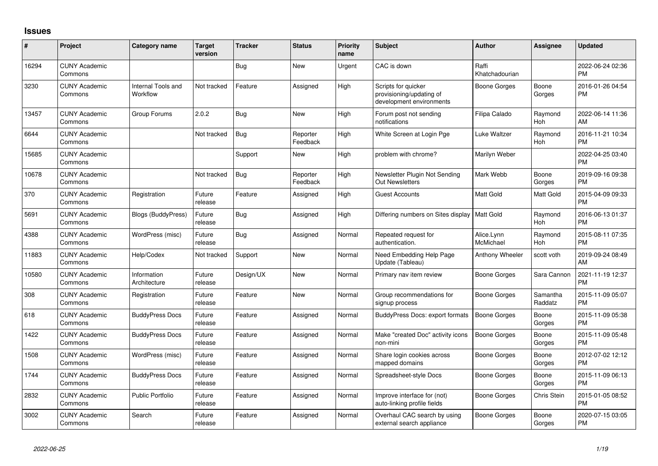## **Issues**

| #     | Project                         | <b>Category name</b>           | <b>Target</b><br>version | <b>Tracker</b> | <b>Status</b>        | <b>Priority</b><br>name | <b>Subject</b>                                                              | <b>Author</b>           | <b>Assignee</b>     | <b>Updated</b>                |
|-------|---------------------------------|--------------------------------|--------------------------|----------------|----------------------|-------------------------|-----------------------------------------------------------------------------|-------------------------|---------------------|-------------------------------|
| 16294 | <b>CUNY Academic</b><br>Commons |                                |                          | Bug            | <b>New</b>           | Urgent                  | CAC is down                                                                 | Raffi<br>Khatchadourian |                     | 2022-06-24 02:36<br><b>PM</b> |
| 3230  | <b>CUNY Academic</b><br>Commons | Internal Tools and<br>Workflow | Not tracked              | Feature        | Assigned             | High                    | Scripts for quicker<br>provisioning/updating of<br>development environments | Boone Gorges            | Boone<br>Gorges     | 2016-01-26 04:54<br><b>PM</b> |
| 13457 | <b>CUNY Academic</b><br>Commons | Group Forums                   | 2.0.2                    | Bug            | <b>New</b>           | High                    | Forum post not sending<br>notifications                                     | Filipa Calado           | Raymond<br>Hoh      | 2022-06-14 11:36<br>AM        |
| 6644  | <b>CUNY Academic</b><br>Commons |                                | Not tracked              | <b>Bug</b>     | Reporter<br>Feedback | High                    | White Screen at Login Pge                                                   | Luke Waltzer            | Raymond<br>Hoh      | 2016-11-21 10:34<br><b>PM</b> |
| 15685 | <b>CUNY Academic</b><br>Commons |                                |                          | Support        | <b>New</b>           | High                    | problem with chrome?                                                        | Marilyn Weber           |                     | 2022-04-25 03:40<br><b>PM</b> |
| 10678 | <b>CUNY Academic</b><br>Commons |                                | Not tracked              | <b>Bug</b>     | Reporter<br>Feedback | High                    | Newsletter Plugin Not Sending<br><b>Out Newsletters</b>                     | Mark Webb               | Boone<br>Gorges     | 2019-09-16 09:38<br><b>PM</b> |
| 370   | <b>CUNY Academic</b><br>Commons | Registration                   | Future<br>release        | Feature        | Assigned             | High                    | <b>Guest Accounts</b>                                                       | <b>Matt Gold</b>        | Matt Gold           | 2015-04-09 09:33<br><b>PM</b> |
| 5691  | <b>CUNY Academic</b><br>Commons | <b>Blogs (BuddyPress)</b>      | Future<br>release        | <b>Bug</b>     | Assigned             | High                    | Differing numbers on Sites display   Matt Gold                              |                         | Raymond<br>Hoh      | 2016-06-13 01:37<br><b>PM</b> |
| 4388  | <b>CUNY Academic</b><br>Commons | WordPress (misc)               | Future<br>release        | Bug            | Assigned             | Normal                  | Repeated request for<br>authentication.                                     | Alice.Lynn<br>McMichael | Raymond<br>Hoh      | 2015-08-11 07:35<br><b>PM</b> |
| 11883 | <b>CUNY Academic</b><br>Commons | Help/Codex                     | Not tracked              | Support        | <b>New</b>           | Normal                  | Need Embedding Help Page<br>Update (Tableau)                                | Anthony Wheeler         | scott voth          | 2019-09-24 08:49<br>AM        |
| 10580 | <b>CUNY Academic</b><br>Commons | Information<br>Architecture    | Future<br>release        | Design/UX      | <b>New</b>           | Normal                  | Primary nav item review                                                     | Boone Gorges            | Sara Cannon         | 2021-11-19 12:37<br><b>PM</b> |
| 308   | <b>CUNY Academic</b><br>Commons | Registration                   | Future<br>release        | Feature        | <b>New</b>           | Normal                  | Group recommendations for<br>signup process                                 | Boone Gorges            | Samantha<br>Raddatz | 2015-11-09 05:07<br><b>PM</b> |
| 618   | <b>CUNY Academic</b><br>Commons | <b>BuddyPress Docs</b>         | Future<br>release        | Feature        | Assigned             | Normal                  | <b>BuddyPress Docs: export formats</b>                                      | <b>Boone Gorges</b>     | Boone<br>Gorges     | 2015-11-09 05:38<br><b>PM</b> |
| 1422  | <b>CUNY Academic</b><br>Commons | <b>BuddyPress Docs</b>         | Future<br>release        | Feature        | Assigned             | Normal                  | Make "created Doc" activity icons<br>non-mini                               | <b>Boone Gorges</b>     | Boone<br>Gorges     | 2015-11-09 05:48<br><b>PM</b> |
| 1508  | <b>CUNY Academic</b><br>Commons | WordPress (misc)               | Future<br>release        | Feature        | Assigned             | Normal                  | Share login cookies across<br>mapped domains                                | Boone Gorges            | Boone<br>Gorges     | 2012-07-02 12:12<br><b>PM</b> |
| 1744  | <b>CUNY Academic</b><br>Commons | <b>BuddyPress Docs</b>         | Future<br>release        | Feature        | Assigned             | Normal                  | Spreadsheet-style Docs                                                      | Boone Gorges            | Boone<br>Gorges     | 2015-11-09 06:13<br><b>PM</b> |
| 2832  | <b>CUNY Academic</b><br>Commons | <b>Public Portfolio</b>        | Future<br>release        | Feature        | Assigned             | Normal                  | Improve interface for (not)<br>auto-linking profile fields                  | Boone Gorges            | Chris Stein         | 2015-01-05 08:52<br><b>PM</b> |
| 3002  | <b>CUNY Academic</b><br>Commons | Search                         | Future<br>release        | Feature        | Assigned             | Normal                  | Overhaul CAC search by using<br>external search appliance                   | Boone Gorges            | Boone<br>Gorges     | 2020-07-15 03:05<br>PM        |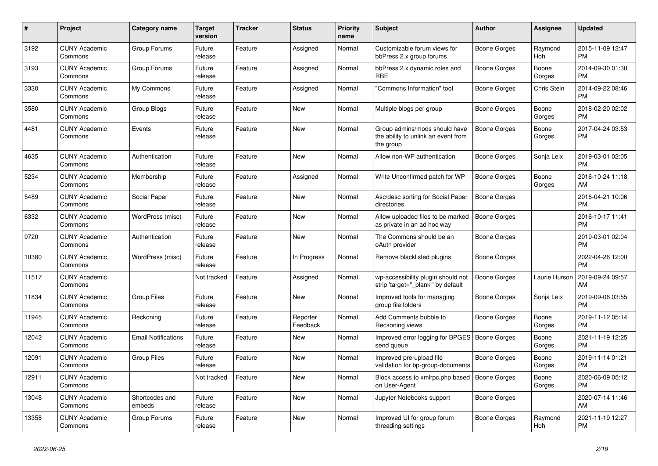| #     | <b>Project</b>                  | <b>Category name</b>       | <b>Target</b><br>version | <b>Tracker</b> | <b>Status</b>        | <b>Priority</b><br>name | <b>Subject</b>                                                                    | <b>Author</b>       | Assignee        | <b>Updated</b>                |
|-------|---------------------------------|----------------------------|--------------------------|----------------|----------------------|-------------------------|-----------------------------------------------------------------------------------|---------------------|-----------------|-------------------------------|
| 3192  | <b>CUNY Academic</b><br>Commons | Group Forums               | Future<br>release        | Feature        | Assigned             | Normal                  | Customizable forum views for<br>bbPress 2.x group forums                          | Boone Gorges        | Raymond<br>Hoh  | 2015-11-09 12:47<br><b>PM</b> |
| 3193  | <b>CUNY Academic</b><br>Commons | Group Forums               | Future<br>release        | Feature        | Assigned             | Normal                  | bbPress 2.x dynamic roles and<br><b>RBE</b>                                       | Boone Gorges        | Boone<br>Gorges | 2014-09-30 01:30<br><b>PM</b> |
| 3330  | <b>CUNY Academic</b><br>Commons | My Commons                 | Future<br>release        | Feature        | Assigned             | Normal                  | "Commons Information" tool                                                        | Boone Gorges        | Chris Stein     | 2014-09-22 08:46<br><b>PM</b> |
| 3580  | <b>CUNY Academic</b><br>Commons | Group Blogs                | Future<br>release        | Feature        | <b>New</b>           | Normal                  | Multiple blogs per group                                                          | Boone Gorges        | Boone<br>Gorges | 2018-02-20 02:02<br><b>PM</b> |
| 4481  | <b>CUNY Academic</b><br>Commons | Events                     | Future<br>release        | Feature        | New                  | Normal                  | Group admins/mods should have<br>the ability to unlink an event from<br>the group | Boone Gorges        | Boone<br>Gorges | 2017-04-24 03:53<br><b>PM</b> |
| 4635  | <b>CUNY Academic</b><br>Commons | Authentication             | Future<br>release        | Feature        | <b>New</b>           | Normal                  | Allow non-WP authentication                                                       | Boone Gorges        | Sonja Leix      | 2019-03-01 02:05<br><b>PM</b> |
| 5234  | <b>CUNY Academic</b><br>Commons | Membership                 | Future<br>release        | Feature        | Assigned             | Normal                  | Write Unconfirmed patch for WP                                                    | Boone Gorges        | Boone<br>Gorges | 2016-10-24 11:18<br>AM        |
| 5489  | <b>CUNY Academic</b><br>Commons | Social Paper               | Future<br>release        | Feature        | <b>New</b>           | Normal                  | Asc/desc sorting for Social Paper<br>directories                                  | Boone Gorges        |                 | 2016-04-21 10:06<br><b>PM</b> |
| 6332  | <b>CUNY Academic</b><br>Commons | WordPress (misc)           | Future<br>release        | Feature        | <b>New</b>           | Normal                  | Allow uploaded files to be marked<br>as private in an ad hoc way                  | <b>Boone Gorges</b> |                 | 2016-10-17 11:41<br><b>PM</b> |
| 9720  | <b>CUNY Academic</b><br>Commons | Authentication             | Future<br>release        | Feature        | <b>New</b>           | Normal                  | The Commons should be an<br>oAuth provider                                        | Boone Gorges        |                 | 2019-03-01 02:04<br><b>PM</b> |
| 10380 | <b>CUNY Academic</b><br>Commons | WordPress (misc)           | Future<br>release        | Feature        | In Progress          | Normal                  | Remove blacklisted plugins                                                        | Boone Gorges        |                 | 2022-04-26 12:00<br><b>PM</b> |
| 11517 | <b>CUNY Academic</b><br>Commons |                            | Not tracked              | Feature        | Assigned             | Normal                  | wp-accessibility plugin should not<br>strip 'target=" blank" by default           | Boone Gorges        | Laurie Hurson   | 2019-09-24 09:57<br>AM        |
| 11834 | <b>CUNY Academic</b><br>Commons | <b>Group Files</b>         | Future<br>release        | Feature        | New                  | Normal                  | Improved tools for managing<br>group file folders                                 | Boone Gorges        | Sonja Leix      | 2019-09-06 03:55<br><b>PM</b> |
| 11945 | <b>CUNY Academic</b><br>Commons | Reckoning                  | Future<br>release        | Feature        | Reporter<br>Feedback | Normal                  | Add Comments bubble to<br>Reckoning views                                         | Boone Gorges        | Boone<br>Gorges | 2019-11-12 05:14<br><b>PM</b> |
| 12042 | <b>CUNY Academic</b><br>Commons | <b>Email Notifications</b> | Future<br>release        | Feature        | New                  | Normal                  | Improved error logging for BPGES   Boone Gorges<br>send queue                     |                     | Boone<br>Gorges | 2021-11-19 12:25<br><b>PM</b> |
| 12091 | <b>CUNY Academic</b><br>Commons | <b>Group Files</b>         | Future<br>release        | Feature        | <b>New</b>           | Normal                  | Improved pre-upload file<br>validation for bp-group-documents                     | Boone Gorges        | Boone<br>Gorges | 2019-11-14 01:21<br><b>PM</b> |
| 12911 | <b>CUNY Academic</b><br>Commons |                            | Not tracked              | Feature        | <b>New</b>           | Normal                  | Block access to xmlrpc.php based<br>on User-Agent                                 | <b>Boone Gorges</b> | Boone<br>Gorges | 2020-06-09 05:12<br><b>PM</b> |
| 13048 | <b>CUNY Academic</b><br>Commons | Shortcodes and<br>embeds   | Future<br>release        | Feature        | New                  | Normal                  | Jupyter Notebooks support                                                         | Boone Gorges        |                 | 2020-07-14 11:46<br>AM        |
| 13358 | <b>CUNY Academic</b><br>Commons | Group Forums               | Future<br>release        | Feature        | <b>New</b>           | Normal                  | Improved UI for group forum<br>threading settings                                 | Boone Gorges        | Raymond<br>Hoh  | 2021-11-19 12:27<br><b>PM</b> |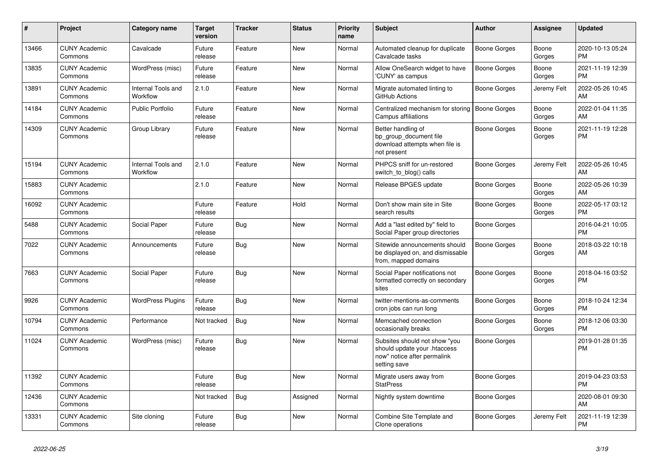| $\pmb{\sharp}$ | Project                         | <b>Category name</b>           | <b>Target</b><br>version | <b>Tracker</b> | <b>Status</b> | <b>Priority</b><br>name | <b>Subject</b>                                                                                               | <b>Author</b>       | <b>Assignee</b> | <b>Updated</b>                |
|----------------|---------------------------------|--------------------------------|--------------------------|----------------|---------------|-------------------------|--------------------------------------------------------------------------------------------------------------|---------------------|-----------------|-------------------------------|
| 13466          | <b>CUNY Academic</b><br>Commons | Cavalcade                      | Future<br>release        | Feature        | <b>New</b>    | Normal                  | Automated cleanup for duplicate<br>Cavalcade tasks                                                           | Boone Gorges        | Boone<br>Gorges | 2020-10-13 05:24<br><b>PM</b> |
| 13835          | <b>CUNY Academic</b><br>Commons | WordPress (misc)               | Future<br>release        | Feature        | <b>New</b>    | Normal                  | Allow OneSearch widget to have<br>'CUNY' as campus                                                           | Boone Gorges        | Boone<br>Gorges | 2021-11-19 12:39<br><b>PM</b> |
| 13891          | <b>CUNY Academic</b><br>Commons | Internal Tools and<br>Workflow | 2.1.0                    | Feature        | New           | Normal                  | Migrate automated linting to<br>GitHub Actions                                                               | Boone Gorges        | Jeremy Felt     | 2022-05-26 10:45<br>AM        |
| 14184          | <b>CUNY Academic</b><br>Commons | <b>Public Portfolio</b>        | Future<br>release        | Feature        | <b>New</b>    | Normal                  | Centralized mechanism for storing<br>Campus affiliations                                                     | Boone Gorges        | Boone<br>Gorges | 2022-01-04 11:35<br>AM        |
| 14309          | <b>CUNY Academic</b><br>Commons | Group Library                  | Future<br>release        | Feature        | <b>New</b>    | Normal                  | Better handling of<br>bp_group_document file<br>download attempts when file is<br>not present                | <b>Boone Gorges</b> | Boone<br>Gorges | 2021-11-19 12:28<br><b>PM</b> |
| 15194          | <b>CUNY Academic</b><br>Commons | Internal Tools and<br>Workflow | 2.1.0                    | Feature        | <b>New</b>    | Normal                  | PHPCS sniff for un-restored<br>switch_to_blog() calls                                                        | Boone Gorges        | Jeremy Felt     | 2022-05-26 10:45<br>AM        |
| 15883          | <b>CUNY Academic</b><br>Commons |                                | 2.1.0                    | Feature        | <b>New</b>    | Normal                  | Release BPGES update                                                                                         | Boone Gorges        | Boone<br>Gorges | 2022-05-26 10:39<br>AM        |
| 16092          | <b>CUNY Academic</b><br>Commons |                                | Future<br>release        | Feature        | Hold          | Normal                  | Don't show main site in Site<br>search results                                                               | Boone Gorges        | Boone<br>Gorges | 2022-05-17 03:12<br><b>PM</b> |
| 5488           | <b>CUNY Academic</b><br>Commons | Social Paper                   | Future<br>release        | Bug            | New           | Normal                  | Add a "last edited by" field to<br>Social Paper group directories                                            | Boone Gorges        |                 | 2016-04-21 10:05<br><b>PM</b> |
| 7022           | <b>CUNY Academic</b><br>Commons | Announcements                  | Future<br>release        | <b>Bug</b>     | <b>New</b>    | Normal                  | Sitewide announcements should<br>be displayed on, and dismissable<br>from, mapped domains                    | Boone Gorges        | Boone<br>Gorges | 2018-03-22 10:18<br>AM        |
| 7663           | <b>CUNY Academic</b><br>Commons | Social Paper                   | Future<br>release        | Bug            | New           | Normal                  | Social Paper notifications not<br>formatted correctly on secondary<br>sites                                  | Boone Gorges        | Boone<br>Gorges | 2018-04-16 03:52<br><b>PM</b> |
| 9926           | <b>CUNY Academic</b><br>Commons | <b>WordPress Plugins</b>       | Future<br>release        | <b>Bug</b>     | <b>New</b>    | Normal                  | twitter-mentions-as-comments<br>cron jobs can run long                                                       | Boone Gorges        | Boone<br>Gorges | 2018-10-24 12:34<br><b>PM</b> |
| 10794          | <b>CUNY Academic</b><br>Commons | Performance                    | Not tracked              | <b>Bug</b>     | <b>New</b>    | Normal                  | Memcached connection<br>occasionally breaks                                                                  | Boone Gorges        | Boone<br>Gorges | 2018-12-06 03:30<br><b>PM</b> |
| 11024          | <b>CUNY Academic</b><br>Commons | WordPress (misc)               | Future<br>release        | <b>Bug</b>     | New           | Normal                  | Subsites should not show "you<br>should update your .htaccess<br>now" notice after permalink<br>setting save | Boone Gorges        |                 | 2019-01-28 01:35<br>PM        |
| 11392          | <b>CUNY Academic</b><br>Commons |                                | Future<br>release        | <b>Bug</b>     | <b>New</b>    | Normal                  | Migrate users away from<br><b>StatPress</b>                                                                  | Boone Gorges        |                 | 2019-04-23 03:53<br><b>PM</b> |
| 12436          | <b>CUNY Academic</b><br>Commons |                                | Not tracked              | Bug            | Assigned      | Normal                  | Nightly system downtime                                                                                      | Boone Gorges        |                 | 2020-08-01 09:30<br>AM        |
| 13331          | <b>CUNY Academic</b><br>Commons | Site cloning                   | Future<br>release        | <b>Bug</b>     | <b>New</b>    | Normal                  | Combine Site Template and<br>Clone operations                                                                | Boone Gorges        | Jeremy Felt     | 2021-11-19 12:39<br>PM        |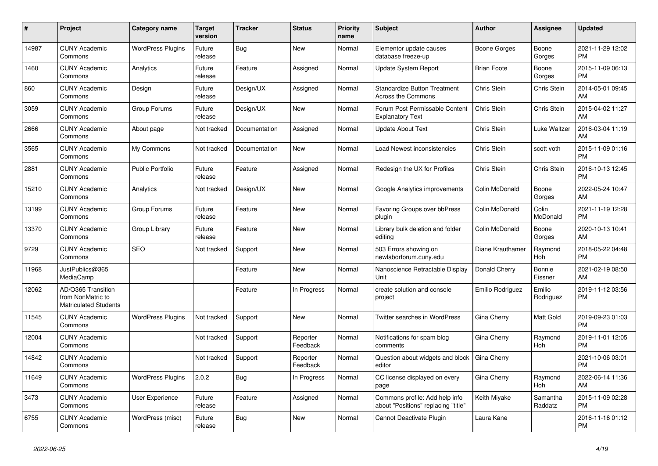| #     | Project                                                                 | <b>Category name</b>     | <b>Target</b><br>version | <b>Tracker</b> | <b>Status</b>        | <b>Priority</b><br>name | <b>Subject</b>                                                        | <b>Author</b>      | Assignee            | <b>Updated</b>                |
|-------|-------------------------------------------------------------------------|--------------------------|--------------------------|----------------|----------------------|-------------------------|-----------------------------------------------------------------------|--------------------|---------------------|-------------------------------|
| 14987 | <b>CUNY Academic</b><br>Commons                                         | <b>WordPress Plugins</b> | Future<br>release        | Bug            | <b>New</b>           | Normal                  | Elementor update causes<br>database freeze-up                         | Boone Gorges       | Boone<br>Gorges     | 2021-11-29 12:02<br><b>PM</b> |
| 1460  | <b>CUNY Academic</b><br>Commons                                         | Analytics                | Future<br>release        | Feature        | Assigned             | Normal                  | Update System Report                                                  | <b>Brian Foote</b> | Boone<br>Gorges     | 2015-11-09 06:13<br><b>PM</b> |
| 860   | <b>CUNY Academic</b><br>Commons                                         | Design                   | Future<br>release        | Design/UX      | Assigned             | Normal                  | <b>Standardize Button Treatment</b><br><b>Across the Commons</b>      | <b>Chris Stein</b> | Chris Stein         | 2014-05-01 09:45<br>AM        |
| 3059  | <b>CUNY Academic</b><br>Commons                                         | Group Forums             | Future<br>release        | Design/UX      | <b>New</b>           | Normal                  | Forum Post Permissable Content<br><b>Explanatory Text</b>             | Chris Stein        | Chris Stein         | 2015-04-02 11:27<br>AM        |
| 2666  | <b>CUNY Academic</b><br>Commons                                         | About page               | Not tracked              | Documentation  | Assigned             | Normal                  | <b>Update About Text</b>                                              | Chris Stein        | Luke Waltzer        | 2016-03-04 11:19<br>AM        |
| 3565  | <b>CUNY Academic</b><br>Commons                                         | My Commons               | Not tracked              | Documentation  | New                  | Normal                  | Load Newest inconsistencies                                           | <b>Chris Stein</b> | scott voth          | 2015-11-09 01:16<br><b>PM</b> |
| 2881  | <b>CUNY Academic</b><br>Commons                                         | <b>Public Portfolio</b>  | Future<br>release        | Feature        | Assigned             | Normal                  | Redesign the UX for Profiles                                          | Chris Stein        | Chris Stein         | 2016-10-13 12:45<br><b>PM</b> |
| 15210 | <b>CUNY Academic</b><br>Commons                                         | Analytics                | Not tracked              | Design/UX      | <b>New</b>           | Normal                  | Google Analytics improvements                                         | Colin McDonald     | Boone<br>Gorges     | 2022-05-24 10:47<br>AM        |
| 13199 | <b>CUNY Academic</b><br>Commons                                         | Group Forums             | Future<br>release        | Feature        | <b>New</b>           | Normal                  | Favoring Groups over bbPress<br>plugin                                | Colin McDonald     | Colin<br>McDonald   | 2021-11-19 12:28<br><b>PM</b> |
| 13370 | <b>CUNY Academic</b><br>Commons                                         | Group Library            | Future<br>release        | Feature        | <b>New</b>           | Normal                  | Library bulk deletion and folder<br>editing                           | Colin McDonald     | Boone<br>Gorges     | 2020-10-13 10:41<br>AM        |
| 9729  | <b>CUNY Academic</b><br>Commons                                         | <b>SEO</b>               | Not tracked              | Support        | <b>New</b>           | Normal                  | 503 Errors showing on<br>newlaborforum.cuny.edu                       | Diane Krauthamer   | Raymond<br>Hoh      | 2018-05-22 04:48<br><b>PM</b> |
| 11968 | JustPublics@365<br>MediaCamp                                            |                          |                          | Feature        | <b>New</b>           | Normal                  | Nanoscience Retractable Display<br><b>Unit</b>                        | Donald Cherry      | Bonnie<br>Eissner   | 2021-02-19 08:50<br>AM        |
| 12062 | AD/O365 Transition<br>from NonMatric to<br><b>Matriculated Students</b> |                          |                          | Feature        | In Progress          | Normal                  | create solution and console<br>project                                | Emilio Rodriguez   | Emilio<br>Rodriguez | 2019-11-12 03:56<br><b>PM</b> |
| 11545 | <b>CUNY Academic</b><br>Commons                                         | <b>WordPress Plugins</b> | Not tracked              | Support        | <b>New</b>           | Normal                  | Twitter searches in WordPress                                         | Gina Cherry        | Matt Gold           | 2019-09-23 01:03<br><b>PM</b> |
| 12004 | <b>CUNY Academic</b><br>Commons                                         |                          | Not tracked              | Support        | Reporter<br>Feedback | Normal                  | Notifications for spam blog<br>comments                               | Gina Cherry        | Raymond<br>Hoh      | 2019-11-01 12:05<br><b>PM</b> |
| 14842 | <b>CUNY Academic</b><br>Commons                                         |                          | Not tracked              | Support        | Reporter<br>Feedback | Normal                  | Question about widgets and block<br>editor                            | Gina Cherry        |                     | 2021-10-06 03:01<br><b>PM</b> |
| 11649 | <b>CUNY Academic</b><br>Commons                                         | <b>WordPress Plugins</b> | 2.0.2                    | <b>Bug</b>     | In Progress          | Normal                  | CC license displayed on every<br>page                                 | Gina Cherry        | Raymond<br>Hoh      | 2022-06-14 11:36<br>AM        |
| 3473  | <b>CUNY Academic</b><br>Commons                                         | User Experience          | Future<br>release        | Feature        | Assigned             | Normal                  | Commons profile: Add help info<br>about "Positions" replacing "title" | Keith Miyake       | Samantha<br>Raddatz | 2015-11-09 02:28<br><b>PM</b> |
| 6755  | <b>CUNY Academic</b><br>Commons                                         | WordPress (misc)         | Future<br>release        | Bug            | <b>New</b>           | Normal                  | Cannot Deactivate Plugin                                              | Laura Kane         |                     | 2016-11-16 01:12<br><b>PM</b> |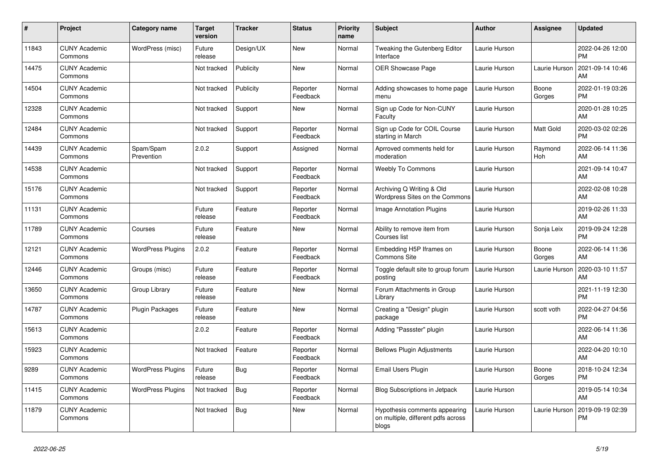| $\vert$ # | <b>Project</b>                  | Category name            | <b>Target</b><br>version | Tracker    | <b>Status</b>        | <b>Priority</b><br>name | <b>Subject</b>                                                               | <b>Author</b> | Assignee        | <b>Updated</b>                |
|-----------|---------------------------------|--------------------------|--------------------------|------------|----------------------|-------------------------|------------------------------------------------------------------------------|---------------|-----------------|-------------------------------|
| 11843     | <b>CUNY Academic</b><br>Commons | WordPress (misc)         | Future<br>release        | Design/UX  | <b>New</b>           | Normal                  | Tweaking the Gutenberg Editor<br>Interface                                   | Laurie Hurson |                 | 2022-04-26 12:00<br><b>PM</b> |
| 14475     | <b>CUNY Academic</b><br>Commons |                          | Not tracked              | Publicity  | <b>New</b>           | Normal                  | <b>OER Showcase Page</b>                                                     | Laurie Hurson | Laurie Hurson   | 2021-09-14 10:46<br>AM        |
| 14504     | <b>CUNY Academic</b><br>Commons |                          | Not tracked              | Publicity  | Reporter<br>Feedback | Normal                  | Adding showcases to home page<br>menu                                        | Laurie Hurson | Boone<br>Gorges | 2022-01-19 03:26<br><b>PM</b> |
| 12328     | <b>CUNY Academic</b><br>Commons |                          | Not tracked              | Support    | <b>New</b>           | Normal                  | Sign up Code for Non-CUNY<br>Faculty                                         | Laurie Hurson |                 | 2020-01-28 10:25<br>AM        |
| 12484     | <b>CUNY Academic</b><br>Commons |                          | Not tracked              | Support    | Reporter<br>Feedback | Normal                  | Sign up Code for COIL Course<br>starting in March                            | Laurie Hurson | Matt Gold       | 2020-03-02 02:26<br><b>PM</b> |
| 14439     | <b>CUNY Academic</b><br>Commons | Spam/Spam<br>Prevention  | 2.0.2                    | Support    | Assigned             | Normal                  | Aprroved comments held for<br>moderation                                     | Laurie Hurson | Raymond<br>Hoh  | 2022-06-14 11:36<br>AM        |
| 14538     | <b>CUNY Academic</b><br>Commons |                          | Not tracked              | Support    | Reporter<br>Feedback | Normal                  | <b>Weebly To Commons</b>                                                     | Laurie Hurson |                 | 2021-09-14 10:47<br>AM        |
| 15176     | <b>CUNY Academic</b><br>Commons |                          | Not tracked              | Support    | Reporter<br>Feedback | Normal                  | Archiving Q Writing & Old<br>Wordpress Sites on the Commons                  | Laurie Hurson |                 | 2022-02-08 10:28<br>AM        |
| 11131     | <b>CUNY Academic</b><br>Commons |                          | Future<br>release        | Feature    | Reporter<br>Feedback | Normal                  | <b>Image Annotation Plugins</b>                                              | Laurie Hurson |                 | 2019-02-26 11:33<br>AM        |
| 11789     | <b>CUNY Academic</b><br>Commons | Courses                  | Future<br>release        | Feature    | <b>New</b>           | Normal                  | Ability to remove item from<br>Courses list                                  | Laurie Hurson | Sonja Leix      | 2019-09-24 12:28<br><b>PM</b> |
| 12121     | <b>CUNY Academic</b><br>Commons | <b>WordPress Plugins</b> | 2.0.2                    | Feature    | Reporter<br>Feedback | Normal                  | Embedding H5P Iframes on<br>Commons Site                                     | Laurie Hurson | Boone<br>Gorges | 2022-06-14 11:36<br>AM        |
| 12446     | <b>CUNY Academic</b><br>Commons | Groups (misc)            | Future<br>release        | Feature    | Reporter<br>Feedback | Normal                  | Toggle default site to group forum<br>posting                                | Laurie Hurson | Laurie Hurson   | 2020-03-10 11:57<br>AM        |
| 13650     | <b>CUNY Academic</b><br>Commons | Group Library            | Future<br>release        | Feature    | New                  | Normal                  | Forum Attachments in Group<br>Library                                        | Laurie Hurson |                 | 2021-11-19 12:30<br><b>PM</b> |
| 14787     | <b>CUNY Academic</b><br>Commons | <b>Plugin Packages</b>   | Future<br>release        | Feature    | <b>New</b>           | Normal                  | Creating a "Design" plugin<br>package                                        | Laurie Hurson | scott voth      | 2022-04-27 04:56<br><b>PM</b> |
| 15613     | <b>CUNY Academic</b><br>Commons |                          | 2.0.2                    | Feature    | Reporter<br>Feedback | Normal                  | Adding "Passster" plugin                                                     | Laurie Hurson |                 | 2022-06-14 11:36<br>AM        |
| 15923     | <b>CUNY Academic</b><br>Commons |                          | Not tracked              | Feature    | Reporter<br>Feedback | Normal                  | <b>Bellows Plugin Adjustments</b>                                            | Laurie Hurson |                 | 2022-04-20 10:10<br>AM        |
| 9289      | <b>CUNY Academic</b><br>Commons | <b>WordPress Plugins</b> | Future<br>release        | Bug        | Reporter<br>Feedback | Normal                  | Email Users Plugin                                                           | Laurie Hurson | Boone<br>Gorges | 2018-10-24 12:34<br><b>PM</b> |
| 11415     | <b>CUNY Academic</b><br>Commons | <b>WordPress Plugins</b> | Not tracked              | <b>Bug</b> | Reporter<br>Feedback | Normal                  | <b>Blog Subscriptions in Jetpack</b>                                         | Laurie Hurson |                 | 2019-05-14 10:34<br>AM        |
| 11879     | <b>CUNY Academic</b><br>Commons |                          | Not tracked              | <b>Bug</b> | <b>New</b>           | Normal                  | Hypothesis comments appearing<br>on multiple, different pdfs across<br>blogs | Laurie Hurson | Laurie Hurson   | 2019-09-19 02:39<br><b>PM</b> |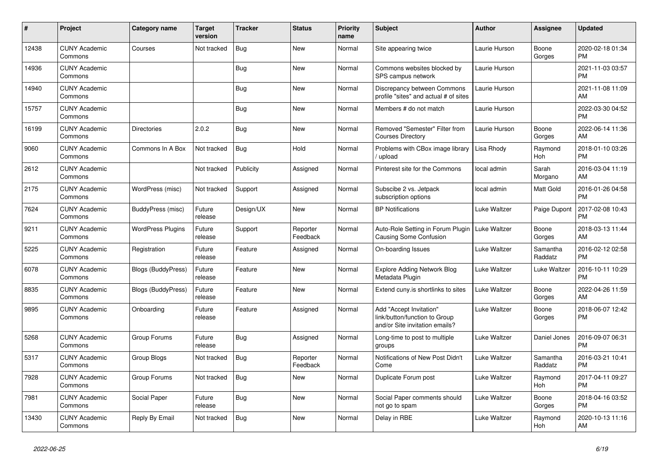| #     | <b>Project</b>                  | <b>Category name</b>      | <b>Target</b><br>version | Tracker    | <b>Status</b>        | <b>Priority</b><br>name | <b>Subject</b>                                                                             | <b>Author</b> | <b>Assignee</b>     | <b>Updated</b>                |
|-------|---------------------------------|---------------------------|--------------------------|------------|----------------------|-------------------------|--------------------------------------------------------------------------------------------|---------------|---------------------|-------------------------------|
| 12438 | <b>CUNY Academic</b><br>Commons | Courses                   | Not tracked              | <b>Bug</b> | New                  | Normal                  | Site appearing twice                                                                       | Laurie Hurson | Boone<br>Gorges     | 2020-02-18 01:34<br><b>PM</b> |
| 14936 | <b>CUNY Academic</b><br>Commons |                           |                          | <b>Bug</b> | <b>New</b>           | Normal                  | Commons websites blocked by<br>SPS campus network                                          | Laurie Hurson |                     | 2021-11-03 03:57<br><b>PM</b> |
| 14940 | <b>CUNY Academic</b><br>Commons |                           |                          | Bug        | <b>New</b>           | Normal                  | Discrepancy between Commons<br>profile "sites" and actual # of sites                       | Laurie Hurson |                     | 2021-11-08 11:09<br>AM        |
| 15757 | <b>CUNY Academic</b><br>Commons |                           |                          | <b>Bug</b> | <b>New</b>           | Normal                  | Members # do not match                                                                     | Laurie Hurson |                     | 2022-03-30 04:52<br><b>PM</b> |
| 16199 | <b>CUNY Academic</b><br>Commons | <b>Directories</b>        | 2.0.2                    | <b>Bug</b> | New                  | Normal                  | Removed "Semester" Filter from<br><b>Courses Directory</b>                                 | Laurie Hurson | Boone<br>Gorges     | 2022-06-14 11:36<br>AM        |
| 9060  | <b>CUNY Academic</b><br>Commons | Commons In A Box          | Not tracked              | <b>Bug</b> | Hold                 | Normal                  | Problems with CBox image library<br>upload                                                 | Lisa Rhody    | Raymond<br>Hoh      | 2018-01-10 03:26<br><b>PM</b> |
| 2612  | <b>CUNY Academic</b><br>Commons |                           | Not tracked              | Publicity  | Assigned             | Normal                  | Pinterest site for the Commons                                                             | local admin   | Sarah<br>Morgano    | 2016-03-04 11:19<br>AM        |
| 2175  | <b>CUNY Academic</b><br>Commons | WordPress (misc)          | Not tracked              | Support    | Assigned             | Normal                  | Subscibe 2 vs. Jetpack<br>subscription options                                             | local admin   | Matt Gold           | 2016-01-26 04:58<br><b>PM</b> |
| 7624  | <b>CUNY Academic</b><br>Commons | BuddyPress (misc)         | Future<br>release        | Design/UX  | New                  | Normal                  | <b>BP</b> Notifications                                                                    | Luke Waltzer  | Paige Dupont        | 2017-02-08 10:43<br><b>PM</b> |
| 9211  | <b>CUNY Academic</b><br>Commons | <b>WordPress Plugins</b>  | Future<br>release        | Support    | Reporter<br>Feedback | Normal                  | Auto-Role Setting in Forum Plugin<br>Causing Some Confusion                                | Luke Waltzer  | Boone<br>Gorges     | 2018-03-13 11:44<br>AM        |
| 5225  | <b>CUNY Academic</b><br>Commons | Registration              | Future<br>release        | Feature    | Assigned             | Normal                  | On-boarding Issues                                                                         | Luke Waltzer  | Samantha<br>Raddatz | 2016-02-12 02:58<br><b>PM</b> |
| 6078  | <b>CUNY Academic</b><br>Commons | <b>Blogs (BuddyPress)</b> | Future<br>release        | Feature    | New                  | Normal                  | <b>Explore Adding Network Blog</b><br>Metadata Plugin                                      | Luke Waltzer  | Luke Waltzer        | 2016-10-11 10:29<br><b>PM</b> |
| 8835  | <b>CUNY Academic</b><br>Commons | <b>Blogs (BuddyPress)</b> | Future<br>release        | Feature    | New                  | Normal                  | Extend cuny is shortlinks to sites                                                         | Luke Waltzer  | Boone<br>Gorges     | 2022-04-26 11:59<br>AM        |
| 9895  | <b>CUNY Academic</b><br>Commons | Onboarding                | Future<br>release        | Feature    | Assigned             | Normal                  | Add "Accept Invitation"<br>link/button/function to Group<br>and/or Site invitation emails? | Luke Waltzer  | Boone<br>Gorges     | 2018-06-07 12:42<br><b>PM</b> |
| 5268  | <b>CUNY Academic</b><br>Commons | Group Forums              | Future<br>release        | <b>Bug</b> | Assigned             | Normal                  | Long-time to post to multiple<br>groups                                                    | Luke Waltzer  | Daniel Jones        | 2016-09-07 06:31<br><b>PM</b> |
| 5317  | <b>CUNY Academic</b><br>Commons | Group Blogs               | Not tracked              | <b>Bug</b> | Reporter<br>Feedback | Normal                  | Notifications of New Post Didn't<br>Come                                                   | Luke Waltzer  | Samantha<br>Raddatz | 2016-03-21 10:41<br><b>PM</b> |
| 7928  | <b>CUNY Academic</b><br>Commons | Group Forums              | Not tracked              | Bug        | <b>New</b>           | Normal                  | Duplicate Forum post                                                                       | Luke Waltzer  | Raymond<br>Hoh      | 2017-04-11 09:27<br><b>PM</b> |
| 7981  | <b>CUNY Academic</b><br>Commons | Social Paper              | Future<br>release        | <b>Bug</b> | <b>New</b>           | Normal                  | Social Paper comments should<br>not go to spam                                             | Luke Waltzer  | Boone<br>Gorges     | 2018-04-16 03:52<br><b>PM</b> |
| 13430 | <b>CUNY Academic</b><br>Commons | Reply By Email            | Not tracked              | <b>Bug</b> | <b>New</b>           | Normal                  | Delay in RBE                                                                               | Luke Waltzer  | Raymond<br>Hoh      | 2020-10-13 11:16<br>AM        |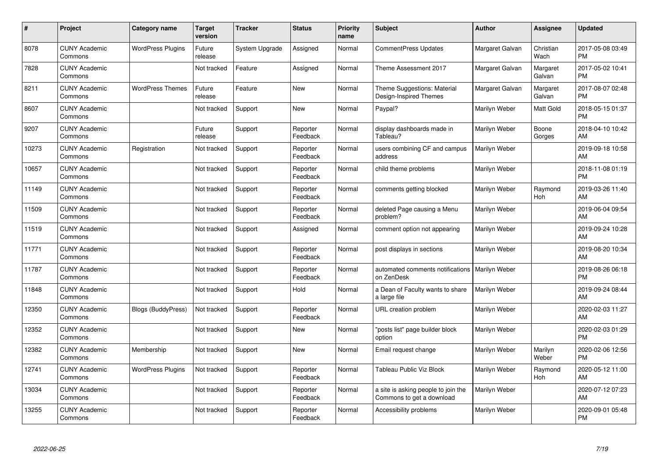| #     | Project                         | <b>Category name</b>      | Target<br>version | <b>Tracker</b> | <b>Status</b>        | <b>Priority</b><br>name | <b>Subject</b>                                                   | <b>Author</b>   | <b>Assignee</b>       | <b>Updated</b>                |
|-------|---------------------------------|---------------------------|-------------------|----------------|----------------------|-------------------------|------------------------------------------------------------------|-----------------|-----------------------|-------------------------------|
| 8078  | <b>CUNY Academic</b><br>Commons | <b>WordPress Plugins</b>  | Future<br>release | System Upgrade | Assigned             | Normal                  | <b>CommentPress Updates</b>                                      | Margaret Galvan | Christian<br>Wach     | 2017-05-08 03:49<br><b>PM</b> |
| 7828  | <b>CUNY Academic</b><br>Commons |                           | Not tracked       | Feature        | Assigned             | Normal                  | Theme Assessment 2017                                            | Margaret Galvan | Margaret<br>Galvan    | 2017-05-02 10:41<br><b>PM</b> |
| 8211  | <b>CUNY Academic</b><br>Commons | <b>WordPress Themes</b>   | Future<br>release | Feature        | New                  | Normal                  | Theme Suggestions: Material<br>Design-Inspired Themes            | Margaret Galvan | Margaret<br>Galvan    | 2017-08-07 02:48<br><b>PM</b> |
| 8607  | <b>CUNY Academic</b><br>Commons |                           | Not tracked       | Support        | <b>New</b>           | Normal                  | Paypal?                                                          | Marilyn Weber   | Matt Gold             | 2018-05-15 01:37<br><b>PM</b> |
| 9207  | <b>CUNY Academic</b><br>Commons |                           | Future<br>release | Support        | Reporter<br>Feedback | Normal                  | display dashboards made in<br>Tableau?                           | Marilyn Weber   | Boone<br>Gorges       | 2018-04-10 10:42<br>AM        |
| 10273 | <b>CUNY Academic</b><br>Commons | Registration              | Not tracked       | Support        | Reporter<br>Feedback | Normal                  | users combining CF and campus<br>address                         | Marilyn Weber   |                       | 2019-09-18 10:58<br>AM        |
| 10657 | <b>CUNY Academic</b><br>Commons |                           | Not tracked       | Support        | Reporter<br>Feedback | Normal                  | child theme problems                                             | Marilyn Weber   |                       | 2018-11-08 01:19<br><b>PM</b> |
| 11149 | <b>CUNY Academic</b><br>Commons |                           | Not tracked       | Support        | Reporter<br>Feedback | Normal                  | comments getting blocked                                         | Marilyn Weber   | Raymond<br>Hoh        | 2019-03-26 11:40<br>AM        |
| 11509 | <b>CUNY Academic</b><br>Commons |                           | Not tracked       | Support        | Reporter<br>Feedback | Normal                  | deleted Page causing a Menu<br>problem?                          | Marilyn Weber   |                       | 2019-06-04 09:54<br>AM        |
| 11519 | <b>CUNY Academic</b><br>Commons |                           | Not tracked       | Support        | Assigned             | Normal                  | comment option not appearing                                     | Marilyn Weber   |                       | 2019-09-24 10:28<br>AM        |
| 11771 | <b>CUNY Academic</b><br>Commons |                           | Not tracked       | Support        | Reporter<br>Feedback | Normal                  | post displays in sections                                        | Marilyn Weber   |                       | 2019-08-20 10:34<br>AM        |
| 11787 | <b>CUNY Academic</b><br>Commons |                           | Not tracked       | Support        | Reporter<br>Feedback | Normal                  | automated comments notifications<br>on ZenDesk                   | Marilyn Weber   |                       | 2019-08-26 06:18<br><b>PM</b> |
| 11848 | <b>CUNY Academic</b><br>Commons |                           | Not tracked       | Support        | Hold                 | Normal                  | a Dean of Faculty wants to share<br>a large file                 | Marilyn Weber   |                       | 2019-09-24 08:44<br>AM        |
| 12350 | <b>CUNY Academic</b><br>Commons | <b>Blogs (BuddyPress)</b> | Not tracked       | Support        | Reporter<br>Feedback | Normal                  | URL creation problem                                             | Marilyn Weber   |                       | 2020-02-03 11:27<br>AM        |
| 12352 | <b>CUNY Academic</b><br>Commons |                           | Not tracked       | Support        | <b>New</b>           | Normal                  | "posts list" page builder block<br>option                        | Marilyn Weber   |                       | 2020-02-03 01:29<br><b>PM</b> |
| 12382 | <b>CUNY Academic</b><br>Commons | Membership                | Not tracked       | Support        | <b>New</b>           | Normal                  | Email request change                                             | Marilyn Weber   | Marilyn<br>Weber      | 2020-02-06 12:56<br><b>PM</b> |
| 12741 | <b>CUNY Academic</b><br>Commons | <b>WordPress Plugins</b>  | Not tracked       | Support        | Reporter<br>Feedback | Normal                  | Tableau Public Viz Block                                         | Marilyn Weber   | Raymond<br><b>Hoh</b> | 2020-05-12 11:00<br>AM        |
| 13034 | <b>CUNY Academic</b><br>Commons |                           | Not tracked       | Support        | Reporter<br>Feedback | Normal                  | a site is asking people to join the<br>Commons to get a download | Marilyn Weber   |                       | 2020-07-12 07:23<br>AM        |
| 13255 | <b>CUNY Academic</b><br>Commons |                           | Not tracked       | Support        | Reporter<br>Feedback | Normal                  | Accessibility problems                                           | Marilyn Weber   |                       | 2020-09-01 05:48<br>PM        |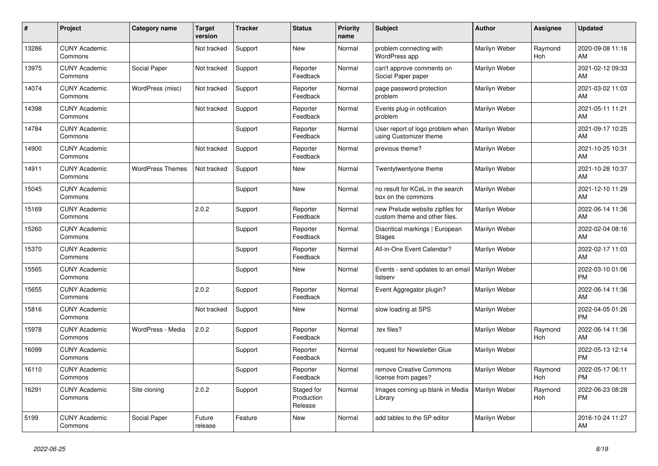| #     | Project                         | <b>Category name</b>    | <b>Target</b><br>version | <b>Tracker</b> | <b>Status</b>                       | Priority<br>name | <b>Subject</b>                                                    | <b>Author</b> | <b>Assignee</b>       | <b>Updated</b>                |
|-------|---------------------------------|-------------------------|--------------------------|----------------|-------------------------------------|------------------|-------------------------------------------------------------------|---------------|-----------------------|-------------------------------|
| 13286 | <b>CUNY Academic</b><br>Commons |                         | Not tracked              | Support        | <b>New</b>                          | Normal           | problem connecting with<br>WordPress app                          | Marilyn Weber | Raymond<br>Hoh        | 2020-09-08 11:16<br>AM        |
| 13975 | <b>CUNY Academic</b><br>Commons | Social Paper            | Not tracked              | Support        | Reporter<br>Feedback                | Normal           | can't approve comments on<br>Social Paper paper                   | Marilyn Weber |                       | 2021-02-12 09:33<br>AM        |
| 14074 | <b>CUNY Academic</b><br>Commons | WordPress (misc)        | Not tracked              | Support        | Reporter<br>Feedback                | Normal           | page password protection<br>problem                               | Marilyn Weber |                       | 2021-03-02 11:03<br>AM        |
| 14398 | <b>CUNY Academic</b><br>Commons |                         | Not tracked              | Support        | Reporter<br>Feedback                | Normal           | Events plug-in notification<br>problem                            | Marilyn Weber |                       | 2021-05-11 11:21<br>AM        |
| 14784 | <b>CUNY Academic</b><br>Commons |                         |                          | Support        | Reporter<br>Feedback                | Normal           | User report of logo problem when<br>using Customizer theme        | Marilyn Weber |                       | 2021-09-17 10:25<br>AM        |
| 14900 | <b>CUNY Academic</b><br>Commons |                         | Not tracked              | Support        | Reporter<br>Feedback                | Normal           | previous theme?                                                   | Marilyn Weber |                       | 2021-10-25 10:31<br>AM        |
| 14911 | <b>CUNY Academic</b><br>Commons | <b>WordPress Themes</b> | Not tracked              | Support        | New                                 | Normal           | Twentytwentyone theme                                             | Marilyn Weber |                       | 2021-10-28 10:37<br>AM        |
| 15045 | <b>CUNY Academic</b><br>Commons |                         |                          | Support        | New                                 | Normal           | no result for KCeL in the search<br>box on the commons            | Marilyn Weber |                       | 2021-12-10 11:29<br>AM        |
| 15169 | <b>CUNY Academic</b><br>Commons |                         | 2.0.2                    | Support        | Reporter<br>Feedback                | Normal           | new Prelude website zipfiles for<br>custom theme and other files. | Marilyn Weber |                       | 2022-06-14 11:36<br>AM        |
| 15260 | <b>CUNY Academic</b><br>Commons |                         |                          | Support        | Reporter<br>Feedback                | Normal           | Diacritical markings   European<br><b>Stages</b>                  | Marilyn Weber |                       | 2022-02-04 08:16<br>AM        |
| 15370 | <b>CUNY Academic</b><br>Commons |                         |                          | Support        | Reporter<br>Feedback                | Normal           | All-in-One Event Calendar?                                        | Marilyn Weber |                       | 2022-02-17 11:03<br>AM        |
| 15565 | <b>CUNY Academic</b><br>Commons |                         |                          | Support        | <b>New</b>                          | Normal           | Events - send updates to an email<br>listserv                     | Marilyn Weber |                       | 2022-03-10 01:06<br><b>PM</b> |
| 15655 | <b>CUNY Academic</b><br>Commons |                         | 2.0.2                    | Support        | Reporter<br>Feedback                | Normal           | Event Aggregator plugin?                                          | Marilyn Weber |                       | 2022-06-14 11:36<br>AM        |
| 15816 | <b>CUNY Academic</b><br>Commons |                         | Not tracked              | Support        | <b>New</b>                          | Normal           | slow loading at SPS                                               | Marilyn Weber |                       | 2022-04-05 01:26<br><b>PM</b> |
| 15978 | <b>CUNY Academic</b><br>Commons | WordPress - Media       | 2.0.2                    | Support        | Reporter<br>Feedback                | Normal           | tex files?                                                        | Marilyn Weber | Raymond<br>Hoh        | 2022-06-14 11:36<br>AM        |
| 16099 | <b>CUNY Academic</b><br>Commons |                         |                          | Support        | Reporter<br>Feedback                | Normal           | request for Newsletter Glue                                       | Marilyn Weber |                       | 2022-05-13 12:14<br><b>PM</b> |
| 16110 | <b>CUNY Academic</b><br>Commons |                         |                          | Support        | Reporter<br>Feedback                | Normal           | remove Creative Commons<br>license from pages?                    | Marilyn Weber | Raymond<br><b>Hoh</b> | 2022-05-17 06:11<br><b>PM</b> |
| 16291 | <b>CUNY Academic</b><br>Commons | Site cloning            | 2.0.2                    | Support        | Staged for<br>Production<br>Release | Normal           | Images coming up blank in Media<br>Library                        | Marilyn Weber | Raymond<br><b>Hoh</b> | 2022-06-23 08:28<br><b>PM</b> |
| 5199  | <b>CUNY Academic</b><br>Commons | Social Paper            | Future<br>release        | Feature        | <b>New</b>                          | Normal           | add tables to the SP editor                                       | Marilyn Weber |                       | 2016-10-24 11:27<br>AM        |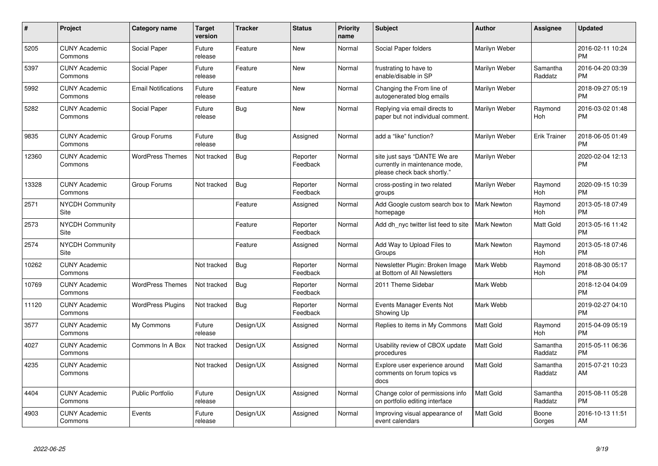| #     | <b>Project</b>                  | <b>Category name</b>       | <b>Target</b><br>version | Tracker    | <b>Status</b>        | <b>Priority</b><br>name | <b>Subject</b>                                                                                | <b>Author</b>      | Assignee              | <b>Updated</b>                |
|-------|---------------------------------|----------------------------|--------------------------|------------|----------------------|-------------------------|-----------------------------------------------------------------------------------------------|--------------------|-----------------------|-------------------------------|
| 5205  | <b>CUNY Academic</b><br>Commons | Social Paper               | Future<br>release        | Feature    | <b>New</b>           | Normal                  | Social Paper folders                                                                          | Marilyn Weber      |                       | 2016-02-11 10:24<br><b>PM</b> |
| 5397  | <b>CUNY Academic</b><br>Commons | Social Paper               | Future<br>release        | Feature    | <b>New</b>           | Normal                  | frustrating to have to<br>enable/disable in SP                                                | Marilyn Weber      | Samantha<br>Raddatz   | 2016-04-20 03:39<br><b>PM</b> |
| 5992  | <b>CUNY Academic</b><br>Commons | <b>Email Notifications</b> | Future<br>release        | Feature    | <b>New</b>           | Normal                  | Changing the From line of<br>autogenerated blog emails                                        | Marilyn Weber      |                       | 2018-09-27 05:19<br>РM        |
| 5282  | <b>CUNY Academic</b><br>Commons | Social Paper               | Future<br>release        | <b>Bug</b> | <b>New</b>           | Normal                  | Replying via email directs to<br>paper but not individual comment.                            | Marilyn Weber      | Raymond<br><b>Hoh</b> | 2016-03-02 01:48<br>PM        |
| 9835  | <b>CUNY Academic</b><br>Commons | Group Forums               | Future<br>release        | Bug        | Assigned             | Normal                  | add a "like" function?                                                                        | Marilyn Weber      | <b>Erik Trainer</b>   | 2018-06-05 01:49<br>PM        |
| 12360 | <b>CUNY Academic</b><br>Commons | <b>WordPress Themes</b>    | Not tracked              | Bug        | Reporter<br>Feedback | Normal                  | site just says "DANTE We are<br>currently in maintenance mode,<br>please check back shortly." | Marilyn Weber      |                       | 2020-02-04 12:13<br><b>PM</b> |
| 13328 | <b>CUNY Academic</b><br>Commons | Group Forums               | Not tracked              | Bug        | Reporter<br>Feedback | Normal                  | cross-posting in two related<br>groups                                                        | Marilyn Weber      | Raymond<br><b>Hoh</b> | 2020-09-15 10:39<br><b>PM</b> |
| 2571  | <b>NYCDH Community</b><br>Site  |                            |                          | Feature    | Assigned             | Normal                  | Add Google custom search box to<br>homepage                                                   | <b>Mark Newton</b> | Raymond<br><b>Hoh</b> | 2013-05-18 07:49<br><b>PM</b> |
| 2573  | <b>NYCDH Community</b><br>Site  |                            |                          | Feature    | Reporter<br>Feedback | Normal                  | Add dh_nyc twitter list feed to site                                                          | <b>Mark Newton</b> | Matt Gold             | 2013-05-16 11:42<br>PM        |
| 2574  | NYCDH Community<br><b>Site</b>  |                            |                          | Feature    | Assigned             | Normal                  | Add Way to Upload Files to<br>Groups                                                          | <b>Mark Newton</b> | Raymond<br>Hoh        | 2013-05-18 07:46<br><b>PM</b> |
| 10262 | <b>CUNY Academic</b><br>Commons |                            | Not tracked              | Bug        | Reporter<br>Feedback | Normal                  | Newsletter Plugin: Broken Image<br>at Bottom of All Newsletters                               | Mark Webb          | Raymond<br>Hoh        | 2018-08-30 05:17<br><b>PM</b> |
| 10769 | <b>CUNY Academic</b><br>Commons | <b>WordPress Themes</b>    | Not tracked              | Bug        | Reporter<br>Feedback | Normal                  | 2011 Theme Sidebar                                                                            | Mark Webb          |                       | 2018-12-04 04:09<br>РM        |
| 11120 | <b>CUNY Academic</b><br>Commons | <b>WordPress Plugins</b>   | Not tracked              | Bug        | Reporter<br>Feedback | Normal                  | Events Manager Events Not<br>Showing Up                                                       | Mark Webb          |                       | 2019-02-27 04:10<br><b>PM</b> |
| 3577  | <b>CUNY Academic</b><br>Commons | My Commons                 | Future<br>release        | Design/UX  | Assigned             | Normal                  | Replies to items in My Commons                                                                | Matt Gold          | Raymond<br><b>Hoh</b> | 2015-04-09 05:19<br><b>PM</b> |
| 4027  | <b>CUNY Academic</b><br>Commons | Commons In A Box           | Not tracked              | Design/UX  | Assigned             | Normal                  | Usability review of CBOX update<br>procedures                                                 | <b>Matt Gold</b>   | Samantha<br>Raddatz   | 2015-05-11 06:36<br>PМ        |
| 4235  | <b>CUNY Academic</b><br>Commons |                            | Not tracked              | Design/UX  | Assigned             | Normal                  | Explore user experience around<br>comments on forum topics vs<br>docs                         | Matt Gold          | Samantha<br>Raddatz   | 2015-07-21 10:23<br>AM        |
| 4404  | <b>CUNY Academic</b><br>Commons | <b>Public Portfolio</b>    | Future<br>release        | Design/UX  | Assigned             | Normal                  | Change color of permissions info<br>on portfolio editing interface                            | Matt Gold          | Samantha<br>Raddatz   | 2015-08-11 05:28<br><b>PM</b> |
| 4903  | <b>CUNY Academic</b><br>Commons | Events                     | Future<br>release        | Design/UX  | Assigned             | Normal                  | Improving visual appearance of<br>event calendars                                             | Matt Gold          | Boone<br>Gorges       | 2016-10-13 11:51<br>AM        |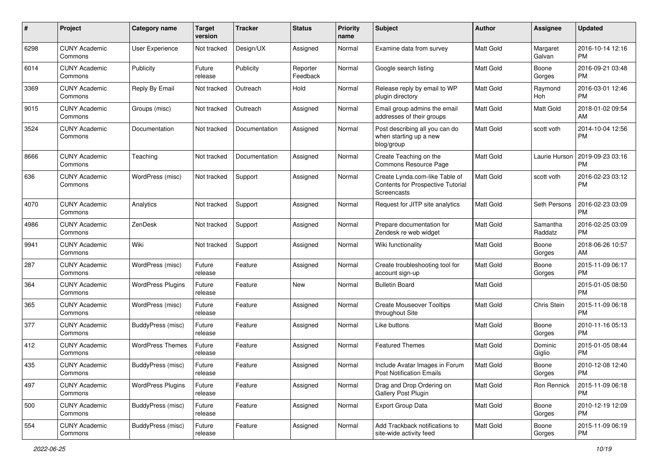| #    | Project                         | <b>Category name</b>     | <b>Target</b><br>version | <b>Tracker</b> | <b>Status</b>        | <b>Priority</b><br>name | Subject                                                                            | <b>Author</b>    | <b>Assignee</b>     | <b>Updated</b>                |
|------|---------------------------------|--------------------------|--------------------------|----------------|----------------------|-------------------------|------------------------------------------------------------------------------------|------------------|---------------------|-------------------------------|
| 6298 | <b>CUNY Academic</b><br>Commons | <b>User Experience</b>   | Not tracked              | Design/UX      | Assigned             | Normal                  | Examine data from survey                                                           | Matt Gold        | Margaret<br>Galvan  | 2016-10-14 12:16<br>PM        |
| 6014 | <b>CUNY Academic</b><br>Commons | Publicity                | Future<br>release        | Publicity      | Reporter<br>Feedback | Normal                  | Google search listing                                                              | Matt Gold        | Boone<br>Gorges     | 2016-09-21 03:48<br><b>PM</b> |
| 3369 | <b>CUNY Academic</b><br>Commons | Reply By Email           | Not tracked              | Outreach       | Hold                 | Normal                  | Release reply by email to WP<br>plugin directory                                   | Matt Gold        | Raymond<br>Hoh      | 2016-03-01 12:46<br><b>PM</b> |
| 9015 | <b>CUNY Academic</b><br>Commons | Groups (misc)            | Not tracked              | Outreach       | Assigned             | Normal                  | Email group admins the email<br>addresses of their groups                          | Matt Gold        | Matt Gold           | 2018-01-02 09:54<br>AM        |
| 3524 | <b>CUNY Academic</b><br>Commons | Documentation            | Not tracked              | Documentation  | Assigned             | Normal                  | Post describing all you can do<br>when starting up a new<br>blog/group             | Matt Gold        | scott voth          | 2014-10-04 12:56<br><b>PM</b> |
| 8666 | <b>CUNY Academic</b><br>Commons | Teaching                 | Not tracked              | Documentation  | Assigned             | Normal                  | Create Teaching on the<br>Commons Resource Page                                    | Matt Gold        | Laurie Hurson       | 2019-09-23 03:16<br><b>PM</b> |
| 636  | <b>CUNY Academic</b><br>Commons | WordPress (misc)         | Not tracked              | Support        | Assigned             | Normal                  | Create Lynda.com-like Table of<br>Contents for Prospective Tutorial<br>Screencasts | Matt Gold        | scott voth          | 2016-02-23 03:12<br><b>PM</b> |
| 4070 | <b>CUNY Academic</b><br>Commons | Analytics                | Not tracked              | Support        | Assigned             | Normal                  | Request for JITP site analytics                                                    | Matt Gold        | Seth Persons        | 2016-02-23 03:09<br><b>PM</b> |
| 4986 | <b>CUNY Academic</b><br>Commons | ZenDesk                  | Not tracked              | Support        | Assigned             | Normal                  | Prepare documentation for<br>Zendesk re web widget                                 | Matt Gold        | Samantha<br>Raddatz | 2016-02-25 03:09<br><b>PM</b> |
| 9941 | <b>CUNY Academic</b><br>Commons | Wiki                     | Not tracked              | Support        | Assigned             | Normal                  | Wiki functionality                                                                 | Matt Gold        | Boone<br>Gorges     | 2018-06-26 10:57<br>AM        |
| 287  | <b>CUNY Academic</b><br>Commons | WordPress (misc)         | Future<br>release        | Feature        | Assigned             | Normal                  | Create troubleshooting tool for<br>account sign-up                                 | Matt Gold        | Boone<br>Gorges     | 2015-11-09 06:17<br><b>PM</b> |
| 364  | <b>CUNY Academic</b><br>Commons | <b>WordPress Plugins</b> | Future<br>release        | Feature        | New                  | Normal                  | <b>Bulletin Board</b>                                                              | Matt Gold        |                     | 2015-01-05 08:50<br><b>PM</b> |
| 365  | <b>CUNY Academic</b><br>Commons | WordPress (misc)         | Future<br>release        | Feature        | Assigned             | Normal                  | <b>Create Mouseover Tooltips</b><br>throughout Site                                | Matt Gold        | Chris Stein         | 2015-11-09 06:18<br><b>PM</b> |
| 377  | <b>CUNY Academic</b><br>Commons | BuddyPress (misc)        | Future<br>release        | Feature        | Assigned             | Normal                  | Like buttons                                                                       | Matt Gold        | Boone<br>Gorges     | 2010-11-16 05:13<br><b>PM</b> |
| 412  | <b>CUNY Academic</b><br>Commons | <b>WordPress Themes</b>  | Future<br>release        | Feature        | Assigned             | Normal                  | <b>Featured Themes</b>                                                             | Matt Gold        | Dominic<br>Giglio   | 2015-01-05 08:44<br><b>PM</b> |
| 435  | CUNY Academic<br>Commons        | BuddyPress (misc)        | Future<br>release        | Feature        | Assigned             | Normal                  | Include Avatar Images in Forum<br><b>Post Notification Emails</b>                  | Matt Gold        | Boone<br>Gorges     | 2010-12-08 12:40<br>PM        |
| 497  | <b>CUNY Academic</b><br>Commons | <b>WordPress Plugins</b> | Future<br>release        | Feature        | Assigned             | Normal                  | Drag and Drop Ordering on<br>Gallery Post Plugin                                   | <b>Matt Gold</b> | Ron Rennick         | 2015-11-09 06:18<br>PM        |
| 500  | <b>CUNY Academic</b><br>Commons | BuddyPress (misc)        | Future<br>release        | Feature        | Assigned             | Normal                  | Export Group Data                                                                  | Matt Gold        | Boone<br>Gorges     | 2010-12-19 12:09<br><b>PM</b> |
| 554  | <b>CUNY Academic</b><br>Commons | BuddyPress (misc)        | Future<br>release        | Feature        | Assigned             | Normal                  | Add Trackback notifications to<br>site-wide activity feed                          | Matt Gold        | Boone<br>Gorges     | 2015-11-09 06:19<br>PM        |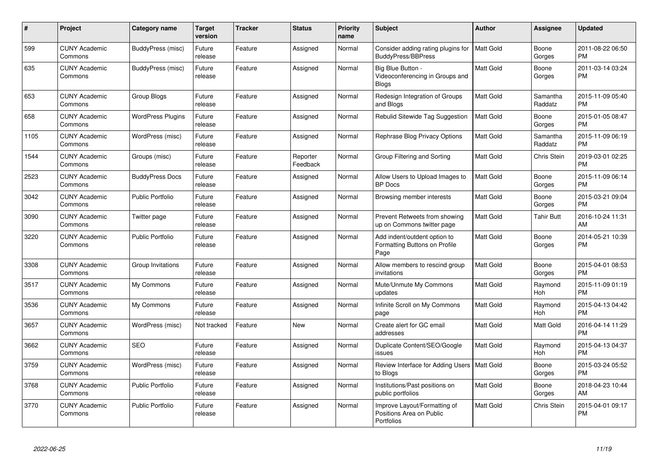| #    | <b>Project</b>                  | <b>Category name</b>     | <b>Target</b><br>version | <b>Tracker</b> | <b>Status</b>        | <b>Priority</b><br>name | <b>Subject</b>                                                         | <b>Author</b>    | Assignee              | <b>Updated</b>                |
|------|---------------------------------|--------------------------|--------------------------|----------------|----------------------|-------------------------|------------------------------------------------------------------------|------------------|-----------------------|-------------------------------|
| 599  | <b>CUNY Academic</b><br>Commons | BuddyPress (misc)        | Future<br>release        | Feature        | Assigned             | Normal                  | Consider adding rating plugins for<br>BuddyPress/BBPress               | <b>Matt Gold</b> | Boone<br>Gorges       | 2011-08-22 06:50<br><b>PM</b> |
| 635  | <b>CUNY Academic</b><br>Commons | BuddyPress (misc)        | Future<br>release        | Feature        | Assigned             | Normal                  | Big Blue Button -<br>Videoconferencing in Groups and<br><b>Blogs</b>   | Matt Gold        | Boone<br>Gorges       | 2011-03-14 03:24<br><b>PM</b> |
| 653  | <b>CUNY Academic</b><br>Commons | Group Blogs              | Future<br>release        | Feature        | Assigned             | Normal                  | Redesign Integration of Groups<br>and Blogs                            | <b>Matt Gold</b> | Samantha<br>Raddatz   | 2015-11-09 05:40<br><b>PM</b> |
| 658  | <b>CUNY Academic</b><br>Commons | <b>WordPress Plugins</b> | Future<br>release        | Feature        | Assigned             | Normal                  | <b>Rebulid Sitewide Tag Suggestion</b>                                 | <b>Matt Gold</b> | Boone<br>Gorges       | 2015-01-05 08:47<br><b>PM</b> |
| 1105 | <b>CUNY Academic</b><br>Commons | WordPress (misc)         | Future<br>release        | Feature        | Assigned             | Normal                  | Rephrase Blog Privacy Options                                          | Matt Gold        | Samantha<br>Raddatz   | 2015-11-09 06:19<br><b>PM</b> |
| 1544 | <b>CUNY Academic</b><br>Commons | Groups (misc)            | Future<br>release        | Feature        | Reporter<br>Feedback | Normal                  | Group Filtering and Sorting                                            | Matt Gold        | Chris Stein           | 2019-03-01 02:25<br><b>PM</b> |
| 2523 | <b>CUNY Academic</b><br>Commons | <b>BuddyPress Docs</b>   | Future<br>release        | Feature        | Assigned             | Normal                  | Allow Users to Upload Images to<br><b>BP</b> Docs                      | Matt Gold        | Boone<br>Gorges       | 2015-11-09 06:14<br><b>PM</b> |
| 3042 | <b>CUNY Academic</b><br>Commons | <b>Public Portfolio</b>  | Future<br>release        | Feature        | Assigned             | Normal                  | Browsing member interests                                              | Matt Gold        | Boone<br>Gorges       | 2015-03-21 09:04<br><b>PM</b> |
| 3090 | <b>CUNY Academic</b><br>Commons | Twitter page             | Future<br>release        | Feature        | Assigned             | Normal                  | Prevent Retweets from showing<br>up on Commons twitter page            | <b>Matt Gold</b> | <b>Tahir Butt</b>     | 2016-10-24 11:31<br>AM        |
| 3220 | <b>CUNY Academic</b><br>Commons | <b>Public Portfolio</b>  | Future<br>release        | Feature        | Assigned             | Normal                  | Add indent/outdent option to<br>Formatting Buttons on Profile<br>Page  | <b>Matt Gold</b> | Boone<br>Gorges       | 2014-05-21 10:39<br><b>PM</b> |
| 3308 | <b>CUNY Academic</b><br>Commons | Group Invitations        | Future<br>release        | Feature        | Assigned             | Normal                  | Allow members to rescind group<br>invitations                          | <b>Matt Gold</b> | Boone<br>Gorges       | 2015-04-01 08:53<br><b>PM</b> |
| 3517 | <b>CUNY Academic</b><br>Commons | My Commons               | Future<br>release        | Feature        | Assigned             | Normal                  | Mute/Unmute My Commons<br>updates                                      | Matt Gold        | Raymond<br>Hoh        | 2015-11-09 01:19<br><b>PM</b> |
| 3536 | <b>CUNY Academic</b><br>Commons | My Commons               | Future<br>release        | Feature        | Assigned             | Normal                  | Infinite Scroll on My Commons<br>page                                  | Matt Gold        | Raymond<br>Hoh        | 2015-04-13 04:42<br><b>PM</b> |
| 3657 | <b>CUNY Academic</b><br>Commons | WordPress (misc)         | Not tracked              | Feature        | New                  | Normal                  | Create alert for GC email<br>addresses                                 | Matt Gold        | Matt Gold             | 2016-04-14 11:29<br><b>PM</b> |
| 3662 | <b>CUNY Academic</b><br>Commons | <b>SEO</b>               | Future<br>release        | Feature        | Assigned             | Normal                  | Duplicate Content/SEO/Google<br>issues                                 | <b>Matt Gold</b> | Raymond<br><b>Hoh</b> | 2015-04-13 04:37<br><b>PM</b> |
| 3759 | <b>CUNY Academic</b><br>Commons | WordPress (misc)         | Future<br>release        | Feature        | Assigned             | Normal                  | Review Interface for Adding Users<br>to Blogs                          | <b>Matt Gold</b> | Boone<br>Gorges       | 2015-03-24 05:52<br><b>PM</b> |
| 3768 | <b>CUNY Academic</b><br>Commons | <b>Public Portfolio</b>  | Future<br>release        | Feature        | Assigned             | Normal                  | Institutions/Past positions on<br>public portfolios                    | Matt Gold        | Boone<br>Gorges       | 2018-04-23 10:44<br>AM        |
| 3770 | <b>CUNY Academic</b><br>Commons | <b>Public Portfolio</b>  | Future<br>release        | Feature        | Assigned             | Normal                  | Improve Layout/Formatting of<br>Positions Area on Public<br>Portfolios | <b>Matt Gold</b> | Chris Stein           | 2015-04-01 09:17<br><b>PM</b> |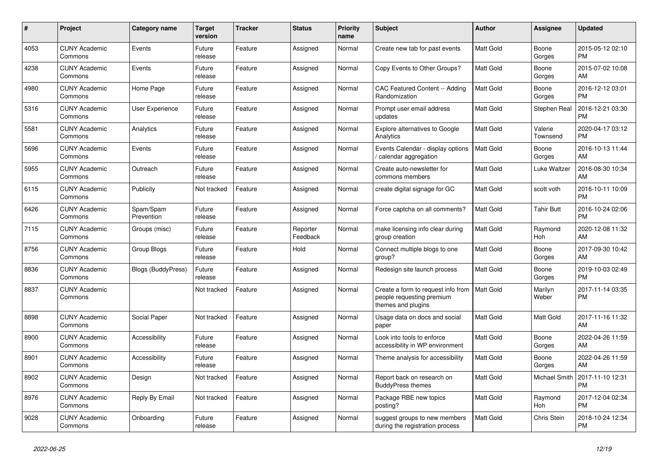| $\pmb{\#}$ | Project                         | Category name             | <b>Target</b><br>version | <b>Tracker</b> | <b>Status</b>        | <b>Priority</b><br>name | <b>Subject</b>                                                                        | <b>Author</b>    | <b>Assignee</b>     | <b>Updated</b>                |
|------------|---------------------------------|---------------------------|--------------------------|----------------|----------------------|-------------------------|---------------------------------------------------------------------------------------|------------------|---------------------|-------------------------------|
| 4053       | <b>CUNY Academic</b><br>Commons | Events                    | Future<br>release        | Feature        | Assigned             | Normal                  | Create new tab for past events                                                        | <b>Matt Gold</b> | Boone<br>Gorges     | 2015-05-12 02:10<br><b>PM</b> |
| 4238       | <b>CUNY Academic</b><br>Commons | Events                    | Future<br>release        | Feature        | Assigned             | Normal                  | Copy Events to Other Groups?                                                          | <b>Matt Gold</b> | Boone<br>Gorges     | 2015-07-02 10:08<br>AM        |
| 4980       | <b>CUNY Academic</b><br>Commons | Home Page                 | Future<br>release        | Feature        | Assigned             | Normal                  | CAC Featured Content -- Adding<br>Randomization                                       | <b>Matt Gold</b> | Boone<br>Gorges     | 2016-12-12 03:01<br><b>PM</b> |
| 5316       | <b>CUNY Academic</b><br>Commons | User Experience           | Future<br>release        | Feature        | Assigned             | Normal                  | Prompt user email address<br>updates                                                  | <b>Matt Gold</b> | <b>Stephen Real</b> | 2016-12-21 03:30<br><b>PM</b> |
| 5581       | <b>CUNY Academic</b><br>Commons | Analytics                 | Future<br>release        | Feature        | Assigned             | Normal                  | <b>Explore alternatives to Google</b><br>Analytics                                    | Matt Gold        | Valerie<br>Townsend | 2020-04-17 03:12<br><b>PM</b> |
| 5696       | <b>CUNY Academic</b><br>Commons | Events                    | Future<br>release        | Feature        | Assigned             | Normal                  | Events Calendar - display options<br>calendar aggregation                             | <b>Matt Gold</b> | Boone<br>Gorges     | 2016-10-13 11:44<br>AM        |
| 5955       | <b>CUNY Academic</b><br>Commons | Outreach                  | Future<br>release        | Feature        | Assigned             | Normal                  | Create auto-newsletter for<br>commons members                                         | <b>Matt Gold</b> | Luke Waltzer        | 2016-08-30 10:34<br>AM        |
| 6115       | <b>CUNY Academic</b><br>Commons | Publicity                 | Not tracked              | Feature        | Assigned             | Normal                  | create digital signage for GC                                                         | Matt Gold        | scott voth          | 2016-10-11 10:09<br><b>PM</b> |
| 6426       | <b>CUNY Academic</b><br>Commons | Spam/Spam<br>Prevention   | Future<br>release        | Feature        | Assigned             | Normal                  | Force captcha on all comments?                                                        | Matt Gold        | <b>Tahir Butt</b>   | 2016-10-24 02:06<br><b>PM</b> |
| 7115       | <b>CUNY Academic</b><br>Commons | Groups (misc)             | Future<br>release        | Feature        | Reporter<br>Feedback | Normal                  | make licensing info clear during<br>group creation                                    | Matt Gold        | Raymond<br>Hoh      | 2020-12-08 11:32<br>AM        |
| 8756       | <b>CUNY Academic</b><br>Commons | Group Blogs               | Future<br>release        | Feature        | Hold                 | Normal                  | Connect multiple blogs to one<br>group?                                               | <b>Matt Gold</b> | Boone<br>Gorges     | 2017-09-30 10:42<br>AM        |
| 8836       | <b>CUNY Academic</b><br>Commons | <b>Blogs (BuddyPress)</b> | Future<br>release        | Feature        | Assigned             | Normal                  | Redesign site launch process                                                          | Matt Gold        | Boone<br>Gorges     | 2019-10-03 02:49<br><b>PM</b> |
| 8837       | <b>CUNY Academic</b><br>Commons |                           | Not tracked              | Feature        | Assigned             | Normal                  | Create a form to request info from<br>people requesting premium<br>themes and plugins | <b>Matt Gold</b> | Marilyn<br>Weber    | 2017-11-14 03:35<br><b>PM</b> |
| 8898       | <b>CUNY Academic</b><br>Commons | Social Paper              | Not tracked              | Feature        | Assigned             | Normal                  | Usage data on docs and social<br>paper                                                | <b>Matt Gold</b> | <b>Matt Gold</b>    | 2017-11-16 11:32<br>AM        |
| 8900       | <b>CUNY Academic</b><br>Commons | Accessibility             | Future<br>release        | Feature        | Assigned             | Normal                  | Look into tools to enforce<br>accessibility in WP environment                         | Matt Gold        | Boone<br>Gorges     | 2022-04-26 11:59<br>AM        |
| 8901       | <b>CUNY Academic</b><br>Commons | Accessibility             | Future<br>release        | Feature        | Assigned             | Normal                  | Theme analysis for accessibility                                                      | <b>Matt Gold</b> | Boone<br>Gorges     | 2022-04-26 11:59<br>AM        |
| 8902       | <b>CUNY Academic</b><br>Commons | Design                    | Not tracked              | Feature        | Assigned             | Normal                  | Report back on research on<br><b>BuddyPress themes</b>                                | <b>Matt Gold</b> | Michael Smith       | 2017-11-10 12:31<br><b>PM</b> |
| 8976       | <b>CUNY Academic</b><br>Commons | Reply By Email            | Not tracked              | Feature        | Assigned             | Normal                  | Package RBE new topics<br>posting?                                                    | <b>Matt Gold</b> | Raymond<br>Hoh      | 2017-12-04 02:34<br><b>PM</b> |
| 9028       | <b>CUNY Academic</b><br>Commons | Onboarding                | Future<br>release        | Feature        | Assigned             | Normal                  | suggest groups to new members<br>during the registration process                      | <b>Matt Gold</b> | Chris Stein         | 2018-10-24 12:34<br><b>PM</b> |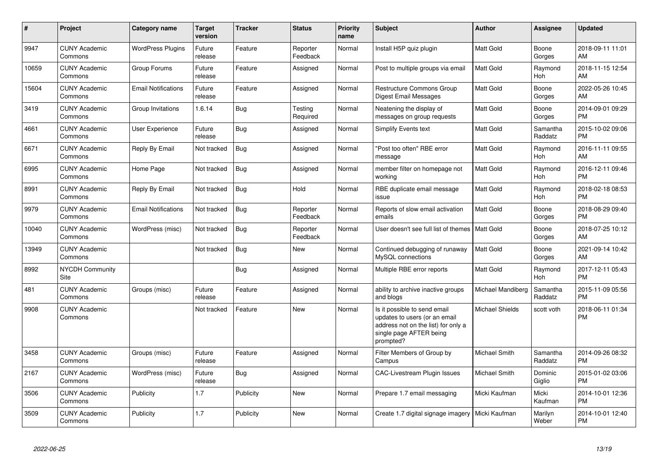| #     | Project                         | <b>Category name</b>       | <b>Target</b><br>version | <b>Tracker</b> | <b>Status</b>        | <b>Priority</b><br>name | <b>Subject</b>                                                                                                                               | <b>Author</b>          | <b>Assignee</b>       | <b>Updated</b>                |
|-------|---------------------------------|----------------------------|--------------------------|----------------|----------------------|-------------------------|----------------------------------------------------------------------------------------------------------------------------------------------|------------------------|-----------------------|-------------------------------|
| 9947  | <b>CUNY Academic</b><br>Commons | <b>WordPress Plugins</b>   | Future<br>release        | Feature        | Reporter<br>Feedback | Normal                  | Install H5P quiz plugin                                                                                                                      | <b>Matt Gold</b>       | Boone<br>Gorges       | 2018-09-11 11:01<br>AM        |
| 10659 | <b>CUNY Academic</b><br>Commons | Group Forums               | Future<br>release        | Feature        | Assigned             | Normal                  | Post to multiple groups via email                                                                                                            | <b>Matt Gold</b>       | Raymond<br>Hoh        | 2018-11-15 12:54<br>AM        |
| 15604 | <b>CUNY Academic</b><br>Commons | <b>Email Notifications</b> | Future<br>release        | Feature        | Assigned             | Normal                  | Restructure Commons Group<br>Digest Email Messages                                                                                           | Matt Gold              | Boone<br>Gorges       | 2022-05-26 10:45<br>AM        |
| 3419  | <b>CUNY Academic</b><br>Commons | Group Invitations          | 1.6.14                   | <b>Bug</b>     | Testing<br>Required  | Normal                  | Neatening the display of<br>messages on group requests                                                                                       | Matt Gold              | Boone<br>Gorges       | 2014-09-01 09:29<br><b>PM</b> |
| 4661  | <b>CUNY Academic</b><br>Commons | User Experience            | Future<br>release        | Bug            | Assigned             | Normal                  | Simplify Events text                                                                                                                         | Matt Gold              | Samantha<br>Raddatz   | 2015-10-02 09:06<br><b>PM</b> |
| 6671  | <b>CUNY Academic</b><br>Commons | Reply By Email             | Not tracked              | Bug            | Assigned             | Normal                  | "Post too often" RBE error<br>message                                                                                                        | Matt Gold              | Raymond<br>Hoh        | 2016-11-11 09:55<br>AM        |
| 6995  | <b>CUNY Academic</b><br>Commons | Home Page                  | Not tracked              | Bug            | Assigned             | Normal                  | member filter on homepage not<br>workina                                                                                                     | <b>Matt Gold</b>       | Raymond<br><b>Hoh</b> | 2016-12-11 09:46<br><b>PM</b> |
| 8991  | <b>CUNY Academic</b><br>Commons | Reply By Email             | Not tracked              | <b>Bug</b>     | Hold                 | Normal                  | RBE duplicate email message<br>issue                                                                                                         | <b>Matt Gold</b>       | Raymond<br>Hoh        | 2018-02-18 08:53<br><b>PM</b> |
| 9979  | <b>CUNY Academic</b><br>Commons | <b>Email Notifications</b> | Not tracked              | Bug            | Reporter<br>Feedback | Normal                  | Reports of slow email activation<br>emails                                                                                                   | Matt Gold              | Boone<br>Gorges       | 2018-08-29 09:40<br><b>PM</b> |
| 10040 | <b>CUNY Academic</b><br>Commons | WordPress (misc)           | Not tracked              | Bug            | Reporter<br>Feedback | Normal                  | User doesn't see full list of themes                                                                                                         | <b>Matt Gold</b>       | Boone<br>Gorges       | 2018-07-25 10:12<br>AM        |
| 13949 | <b>CUNY Academic</b><br>Commons |                            | Not tracked              | Bug            | New                  | Normal                  | Continued debugging of runaway<br>MySQL connections                                                                                          | <b>Matt Gold</b>       | Boone<br>Gorges       | 2021-09-14 10:42<br>AM        |
| 8992  | <b>NYCDH Community</b><br>Site  |                            |                          | Bug            | Assigned             | Normal                  | Multiple RBE error reports                                                                                                                   | <b>Matt Gold</b>       | Raymond<br><b>Hoh</b> | 2017-12-11 05:43<br><b>PM</b> |
| 481   | <b>CUNY Academic</b><br>Commons | Groups (misc)              | Future<br>release        | Feature        | Assigned             | Normal                  | ability to archive inactive groups<br>and blogs                                                                                              | Michael Mandiberg      | Samantha<br>Raddatz   | 2015-11-09 05:56<br><b>PM</b> |
| 9908  | <b>CUNY Academic</b><br>Commons |                            | Not tracked              | Feature        | <b>New</b>           | Normal                  | Is it possible to send email<br>updates to users (or an email<br>address not on the list) for only a<br>single page AFTER being<br>prompted? | <b>Michael Shields</b> | scott voth            | 2018-06-11 01:34<br><b>PM</b> |
| 3458  | <b>CUNY Academic</b><br>Commons | Groups (misc)              | Future<br>release        | Feature        | Assigned             | Normal                  | Filter Members of Group by<br>Campus                                                                                                         | <b>Michael Smith</b>   | Samantha<br>Raddatz   | 2014-09-26 08:32<br><b>PM</b> |
| 2167  | <b>CUNY Academic</b><br>Commons | WordPress (misc)           | Future<br>release        | Bug            | Assigned             | Normal                  | <b>CAC-Livestream Plugin Issues</b>                                                                                                          | Michael Smith          | Dominic<br>Giglio     | 2015-01-02 03:06<br><b>PM</b> |
| 3506  | <b>CUNY Academic</b><br>Commons | Publicity                  | 1.7                      | Publicity      | <b>New</b>           | Normal                  | Prepare 1.7 email messaging                                                                                                                  | Micki Kaufman          | Micki<br>Kaufman      | 2014-10-01 12:36<br><b>PM</b> |
| 3509  | <b>CUNY Academic</b><br>Commons | Publicity                  | 1.7                      | Publicity      | <b>New</b>           | Normal                  | Create 1.7 digital signage imagery                                                                                                           | Micki Kaufman          | Marilyn<br>Weber      | 2014-10-01 12:40<br><b>PM</b> |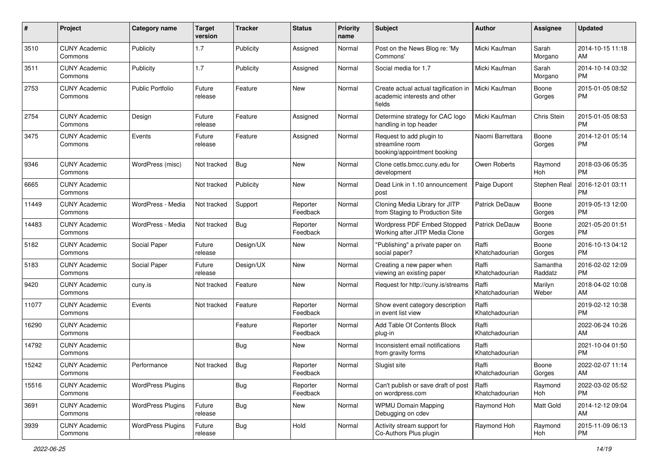| #     | Project                         | <b>Category name</b>     | <b>Target</b><br>version | <b>Tracker</b> | <b>Status</b>        | <b>Priority</b><br>name | Subject                                                                        | Author                    | <b>Assignee</b>     | <b>Updated</b>                |
|-------|---------------------------------|--------------------------|--------------------------|----------------|----------------------|-------------------------|--------------------------------------------------------------------------------|---------------------------|---------------------|-------------------------------|
| 3510  | <b>CUNY Academic</b><br>Commons | Publicity                | 1.7                      | Publicity      | Assigned             | Normal                  | Post on the News Blog re: 'My<br>Commons'                                      | Micki Kaufman             | Sarah<br>Morgano    | 2014-10-15 11:18<br>AM        |
| 3511  | <b>CUNY Academic</b><br>Commons | Publicity                | 1.7                      | Publicity      | Assigned             | Normal                  | Social media for 1.7                                                           | Micki Kaufman             | Sarah<br>Morgano    | 2014-10-14 03:32<br><b>PM</b> |
| 2753  | <b>CUNY Academic</b><br>Commons | <b>Public Portfolio</b>  | Future<br>release        | Feature        | New                  | Normal                  | Create actual actual tagification in<br>academic interests and other<br>fields | Micki Kaufman             | Boone<br>Gorges     | 2015-01-05 08:52<br><b>PM</b> |
| 2754  | <b>CUNY Academic</b><br>Commons | Design                   | Future<br>release        | Feature        | Assigned             | Normal                  | Determine strategy for CAC logo<br>handling in top header                      | Micki Kaufman             | Chris Stein         | 2015-01-05 08:53<br><b>PM</b> |
| 3475  | <b>CUNY Academic</b><br>Commons | Events                   | Future<br>release        | Feature        | Assigned             | Normal                  | Request to add plugin to<br>streamline room<br>booking/appointment booking     | Naomi Barrettara          | Boone<br>Gorges     | 2014-12-01 05:14<br>PM        |
| 9346  | <b>CUNY Academic</b><br>Commons | WordPress (misc)         | Not tracked              | Bug            | New                  | Normal                  | Clone cetls.bmcc.cuny.edu for<br>development                                   | Owen Roberts              | Raymond<br>Hoh      | 2018-03-06 05:35<br><b>PM</b> |
| 6665  | <b>CUNY Academic</b><br>Commons |                          | Not tracked              | Publicity      | New                  | Normal                  | Dead Link in 1.10 announcement<br>post                                         | Paige Dupont              | Stephen Real        | 2016-12-01 03:11<br><b>PM</b> |
| 11449 | <b>CUNY Academic</b><br>Commons | WordPress - Media        | Not tracked              | Support        | Reporter<br>Feedback | Normal                  | Cloning Media Library for JITP<br>from Staging to Production Site              | Patrick DeDauw            | Boone<br>Gorges     | 2019-05-13 12:00<br><b>PM</b> |
| 14483 | <b>CUNY Academic</b><br>Commons | WordPress - Media        | Not tracked              | <b>Bug</b>     | Reporter<br>Feedback | Normal                  | <b>Wordpress PDF Embed Stopped</b><br>Working after JITP Media Clone           | Patrick DeDauw            | Boone<br>Gorges     | 2021-05-20 01:51<br><b>PM</b> |
| 5182  | <b>CUNY Academic</b><br>Commons | Social Paper             | Future<br>release        | Design/UX      | <b>New</b>           | Normal                  | "Publishing" a private paper on<br>social paper?                               | Raffi<br>Khatchadourian   | Boone<br>Gorges     | 2016-10-13 04:12<br>PM        |
| 5183  | <b>CUNY Academic</b><br>Commons | Social Paper             | Future<br>release        | Design/UX      | New                  | Normal                  | Creating a new paper when<br>viewing an existing paper                         | Raffi<br>Khatchadourian   | Samantha<br>Raddatz | 2016-02-02 12:09<br><b>PM</b> |
| 9420  | <b>CUNY Academic</b><br>Commons | cuny.is                  | Not tracked              | Feature        | <b>New</b>           | Normal                  | Request for http://cuny.is/streams                                             | Raffi<br>Khatchadourian   | Marilyn<br>Weber    | 2018-04-02 10:08<br>AM        |
| 11077 | <b>CUNY Academic</b><br>Commons | Events                   | Not tracked              | Feature        | Reporter<br>Feedback | Normal                  | Show event category description<br>in event list view                          | Raffi<br>Khatchadourian   |                     | 2019-02-12 10:38<br><b>PM</b> |
| 16290 | <b>CUNY Academic</b><br>Commons |                          |                          | Feature        | Reporter<br>Feedback | Normal                  | Add Table Of Contents Block<br>plug-in                                         | Raffi<br>Khatchadourian   |                     | 2022-06-24 10:26<br>AM        |
| 14792 | <b>CUNY Academic</b><br>Commons |                          |                          | Bug            | New                  | Normal                  | Inconsistent email notifications<br>from gravity forms                         | Raffi<br>Khatchadourian   |                     | 2021-10-04 01:50<br><b>PM</b> |
| 15242 | <b>CUNY Academic</b><br>Commons | Performance              | Not tracked              | <b>Bug</b>     | Reporter<br>Feedback | Normal                  | Slugist site                                                                   | Raffi<br>Khatchadourian   | Boone<br>Gorges     | 2022-02-07 11:14<br>AM        |
| 15516 | <b>CUNY Academic</b><br>Commons | <b>WordPress Plugins</b> |                          | Bug            | Reporter<br>Feedback | Normal                  | Can't publish or save draft of post<br>on wordpress.com                        | l Raffi<br>Khatchadourian | Raymond<br>Hoh      | 2022-03-02 05:52<br>PM        |
| 3691  | <b>CUNY Academic</b><br>Commons | <b>WordPress Plugins</b> | Future<br>release        | <b>Bug</b>     | New                  | Normal                  | <b>WPMU Domain Mapping</b><br>Debugging on cdev                                | Raymond Hoh               | Matt Gold           | 2014-12-12 09:04<br>AM        |
| 3939  | <b>CUNY Academic</b><br>Commons | <b>WordPress Plugins</b> | Future<br>release        | <b>Bug</b>     | Hold                 | Normal                  | Activity stream support for<br>Co-Authors Plus plugin                          | Raymond Hoh               | Raymond<br>Hoh      | 2015-11-09 06:13<br><b>PM</b> |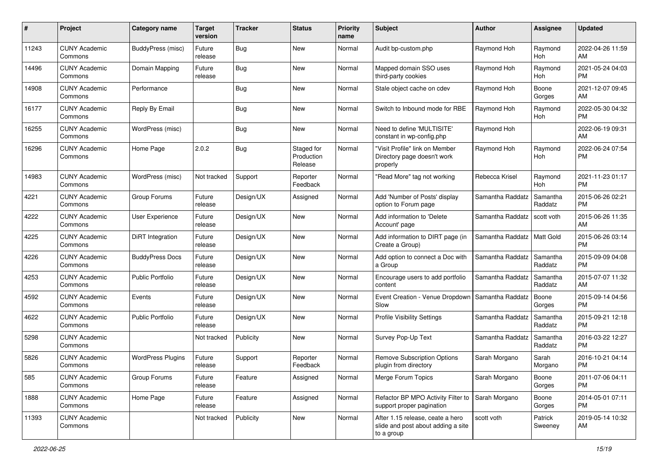| #     | Project                         | <b>Category name</b>     | <b>Target</b><br>version | <b>Tracker</b> | <b>Status</b>                       | <b>Priority</b><br>name | Subject                                                                              | Author           | <b>Assignee</b>       | <b>Updated</b>                |
|-------|---------------------------------|--------------------------|--------------------------|----------------|-------------------------------------|-------------------------|--------------------------------------------------------------------------------------|------------------|-----------------------|-------------------------------|
| 11243 | <b>CUNY Academic</b><br>Commons | BuddyPress (misc)        | Future<br>release        | Bug            | <b>New</b>                          | Normal                  | Audit bp-custom.php                                                                  | Raymond Hoh      | Raymond<br>Hoh        | 2022-04-26 11:59<br>AM        |
| 14496 | <b>CUNY Academic</b><br>Commons | Domain Mapping           | Future<br>release        | <b>Bug</b>     | New                                 | Normal                  | Mapped domain SSO uses<br>third-party cookies                                        | Raymond Hoh      | Raymond<br><b>Hoh</b> | 2021-05-24 04:03<br><b>PM</b> |
| 14908 | <b>CUNY Academic</b><br>Commons | Performance              |                          | <b>Bug</b>     | New                                 | Normal                  | Stale object cache on cdev                                                           | Raymond Hoh      | Boone<br>Gorges       | 2021-12-07 09:45<br>AM        |
| 16177 | <b>CUNY Academic</b><br>Commons | Reply By Email           |                          | Bug            | New                                 | Normal                  | Switch to Inbound mode for RBE                                                       | Raymond Hoh      | Raymond<br>Hoh        | 2022-05-30 04:32<br><b>PM</b> |
| 16255 | <b>CUNY Academic</b><br>Commons | WordPress (misc)         |                          | <b>Bug</b>     | New                                 | Normal                  | Need to define 'MULTISITE'<br>constant in wp-config.php                              | Raymond Hoh      |                       | 2022-06-19 09:31<br>AM        |
| 16296 | <b>CUNY Academic</b><br>Commons | Home Page                | 2.0.2                    | <b>Bug</b>     | Staged for<br>Production<br>Release | Normal                  | "Visit Profile" link on Member<br>Directory page doesn't work<br>properly            | Raymond Hoh      | Raymond<br>Hoh        | 2022-06-24 07:54<br><b>PM</b> |
| 14983 | <b>CUNY Academic</b><br>Commons | WordPress (misc)         | Not tracked              | Support        | Reporter<br>Feedback                | Normal                  | "Read More" tag not working                                                          | Rebecca Krisel   | Raymond<br>Hoh        | 2021-11-23 01:17<br><b>PM</b> |
| 4221  | <b>CUNY Academic</b><br>Commons | Group Forums             | Future<br>release        | Design/UX      | Assigned                            | Normal                  | Add 'Number of Posts' display<br>option to Forum page                                | Samantha Raddatz | Samantha<br>Raddatz   | 2015-06-26 02:21<br><b>PM</b> |
| 4222  | <b>CUNY Academic</b><br>Commons | User Experience          | Future<br>release        | Design/UX      | <b>New</b>                          | Normal                  | Add information to 'Delete<br>Account' page                                          | Samantha Raddatz | scott voth            | 2015-06-26 11:35<br>AM        |
| 4225  | <b>CUNY Academic</b><br>Commons | <b>DiRT</b> Integration  | Future<br>release        | Design/UX      | <b>New</b>                          | Normal                  | Add information to DIRT page (in<br>Create a Group)                                  | Samantha Raddatz | Matt Gold             | 2015-06-26 03:14<br><b>PM</b> |
| 4226  | <b>CUNY Academic</b><br>Commons | <b>BuddyPress Docs</b>   | Future<br>release        | Design/UX      | <b>New</b>                          | Normal                  | Add option to connect a Doc with<br>a Group                                          | Samantha Raddatz | Samantha<br>Raddatz   | 2015-09-09 04:08<br><b>PM</b> |
| 4253  | <b>CUNY Academic</b><br>Commons | <b>Public Portfolio</b>  | Future<br>release        | Design/UX      | <b>New</b>                          | Normal                  | Encourage users to add portfolio<br>content                                          | Samantha Raddatz | Samantha<br>Raddatz   | 2015-07-07 11:32<br>AM        |
| 4592  | <b>CUNY Academic</b><br>Commons | Events                   | Future<br>release        | Design/UX      | <b>New</b>                          | Normal                  | Event Creation - Venue Dropdown<br>Slow                                              | Samantha Raddatz | Boone<br>Gorges       | 2015-09-14 04:56<br><b>PM</b> |
| 4622  | <b>CUNY Academic</b><br>Commons | <b>Public Portfolio</b>  | Future<br>release        | Design/UX      | New                                 | Normal                  | <b>Profile Visibility Settings</b>                                                   | Samantha Raddatz | Samantha<br>Raddatz   | 2015-09-21 12:18<br><b>PM</b> |
| 5298  | <b>CUNY Academic</b><br>Commons |                          | Not tracked              | Publicity      | New                                 | Normal                  | Survey Pop-Up Text                                                                   | Samantha Raddatz | Samantha<br>Raddatz   | 2016-03-22 12:27<br><b>PM</b> |
| 5826  | <b>CUNY Academic</b><br>Commons | <b>WordPress Plugins</b> | Future<br>release        | Support        | Reporter<br>Feedback                | Normal                  | <b>Remove Subscription Options</b><br>plugin from directory                          | Sarah Morgano    | Sarah<br>Morgano      | 2016-10-21 04:14<br><b>PM</b> |
| 585   | <b>CUNY Academic</b><br>Commons | Group Forums             | Future<br>release        | Feature        | Assigned                            | Normal                  | Merge Forum Topics                                                                   | Sarah Morgano    | Boone<br>Gorges       | 2011-07-06 04:11<br>PM        |
| 1888  | <b>CUNY Academic</b><br>Commons | Home Page                | Future<br>release        | Feature        | Assigned                            | Normal                  | Refactor BP MPO Activity Filter to<br>support proper pagination                      | Sarah Morgano    | Boone<br>Gorges       | 2014-05-01 07:11<br>PM        |
| 11393 | <b>CUNY Academic</b><br>Commons |                          | Not tracked              | Publicity      | New                                 | Normal                  | After 1.15 release, ceate a hero<br>slide and post about adding a site<br>to a group | scott voth       | Patrick<br>Sweeney    | 2019-05-14 10:32<br>AM        |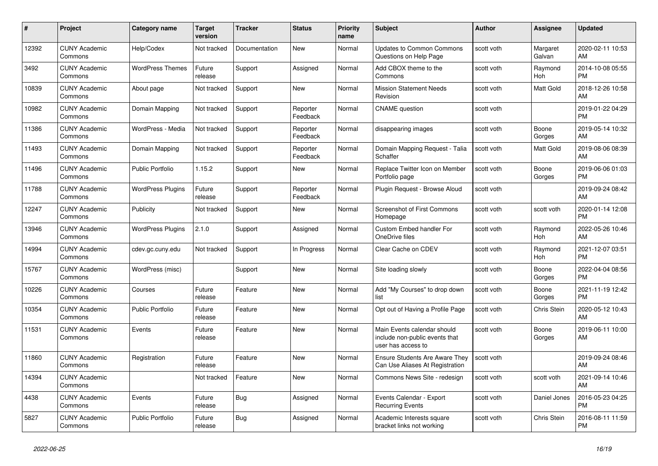| $\pmb{\#}$ | Project                         | Category name            | Target<br>version | <b>Tracker</b> | <b>Status</b>        | <b>Priority</b><br>name | <b>Subject</b>                                                                      | Author     | Assignee              | <b>Updated</b>                |
|------------|---------------------------------|--------------------------|-------------------|----------------|----------------------|-------------------------|-------------------------------------------------------------------------------------|------------|-----------------------|-------------------------------|
| 12392      | <b>CUNY Academic</b><br>Commons | Help/Codex               | Not tracked       | Documentation  | <b>New</b>           | Normal                  | <b>Updates to Common Commons</b><br>Questions on Help Page                          | scott voth | Margaret<br>Galvan    | 2020-02-11 10:53<br>AM        |
| 3492       | <b>CUNY Academic</b><br>Commons | <b>WordPress Themes</b>  | Future<br>release | Support        | Assigned             | Normal                  | Add CBOX theme to the<br>Commons                                                    | scott voth | Raymond<br>Hoh        | 2014-10-08 05:55<br><b>PM</b> |
| 10839      | <b>CUNY Academic</b><br>Commons | About page               | Not tracked       | Support        | New                  | Normal                  | <b>Mission Statement Needs</b><br>Revision                                          | scott voth | Matt Gold             | 2018-12-26 10:58<br>AM        |
| 10982      | <b>CUNY Academic</b><br>Commons | Domain Mapping           | Not tracked       | Support        | Reporter<br>Feedback | Normal                  | <b>CNAME</b> question                                                               | scott voth |                       | 2019-01-22 04:29<br><b>PM</b> |
| 11386      | <b>CUNY Academic</b><br>Commons | WordPress - Media        | Not tracked       | Support        | Reporter<br>Feedback | Normal                  | disappearing images                                                                 | scott voth | Boone<br>Gorges       | 2019-05-14 10:32<br>AM        |
| 11493      | <b>CUNY Academic</b><br>Commons | Domain Mapping           | Not tracked       | Support        | Reporter<br>Feedback | Normal                  | Domain Mapping Request - Talia<br>Schaffer                                          | scott voth | Matt Gold             | 2019-08-06 08:39<br>AM        |
| 11496      | <b>CUNY Academic</b><br>Commons | <b>Public Portfolio</b>  | 1.15.2            | Support        | <b>New</b>           | Normal                  | Replace Twitter Icon on Member<br>Portfolio page                                    | scott voth | Boone<br>Gorges       | 2019-06-06 01:03<br><b>PM</b> |
| 11788      | <b>CUNY Academic</b><br>Commons | <b>WordPress Plugins</b> | Future<br>release | Support        | Reporter<br>Feedback | Normal                  | Plugin Reguest - Browse Aloud                                                       | scott voth |                       | 2019-09-24 08:42<br>AM        |
| 12247      | <b>CUNY Academic</b><br>Commons | Publicity                | Not tracked       | Support        | <b>New</b>           | Normal                  | <b>Screenshot of First Commons</b><br>Homepage                                      | scott voth | scott voth            | 2020-01-14 12:08<br>PM        |
| 13946      | <b>CUNY Academic</b><br>Commons | <b>WordPress Plugins</b> | 2.1.0             | Support        | Assigned             | Normal                  | Custom Embed handler For<br>OneDrive files                                          | scott voth | Raymond<br><b>Hoh</b> | 2022-05-26 10:46<br>AM        |
| 14994      | <b>CUNY Academic</b><br>Commons | cdev.gc.cuny.edu         | Not tracked       | Support        | In Progress          | Normal                  | Clear Cache on CDEV                                                                 | scott voth | Raymond<br>Hoh        | 2021-12-07 03:51<br>PM        |
| 15767      | <b>CUNY Academic</b><br>Commons | WordPress (misc)         |                   | Support        | New                  | Normal                  | Site loading slowly                                                                 | scott voth | Boone<br>Gorges       | 2022-04-04 08:56<br><b>PM</b> |
| 10226      | <b>CUNY Academic</b><br>Commons | Courses                  | Future<br>release | Feature        | <b>New</b>           | Normal                  | Add "My Courses" to drop down<br>list                                               | scott voth | Boone<br>Gorges       | 2021-11-19 12:42<br><b>PM</b> |
| 10354      | <b>CUNY Academic</b><br>Commons | <b>Public Portfolio</b>  | Future<br>release | Feature        | <b>New</b>           | Normal                  | Opt out of Having a Profile Page                                                    | scott voth | Chris Stein           | 2020-05-12 10:43<br>AM        |
| 11531      | <b>CUNY Academic</b><br>Commons | Events                   | Future<br>release | Feature        | <b>New</b>           | Normal                  | Main Events calendar should<br>include non-public events that<br>user has access to | scott voth | Boone<br>Gorges       | 2019-06-11 10:00<br>AM        |
| 11860      | <b>CUNY Academic</b><br>Commons | Registration             | Future<br>release | Feature        | <b>New</b>           | Normal                  | <b>Ensure Students Are Aware They</b><br>Can Use Aliases At Registration            | scott voth |                       | 2019-09-24 08:46<br>AM        |
| 14394      | <b>CUNY Academic</b><br>Commons |                          | Not tracked       | Feature        | <b>New</b>           | Normal                  | Commons News Site - redesign                                                        | scott voth | scott voth            | 2021-09-14 10:46<br>AM        |
| 4438       | <b>CUNY Academic</b><br>Commons | Events                   | Future<br>release | <b>Bug</b>     | Assigned             | Normal                  | Events Calendar - Export<br><b>Recurring Events</b>                                 | scott voth | Daniel Jones          | 2016-05-23 04:25<br>PM        |
| 5827       | <b>CUNY Academic</b><br>Commons | <b>Public Portfolio</b>  | Future<br>release | <b>Bug</b>     | Assigned             | Normal                  | Academic Interests square<br>bracket links not working                              | scott voth | <b>Chris Stein</b>    | 2016-08-11 11:59<br><b>PM</b> |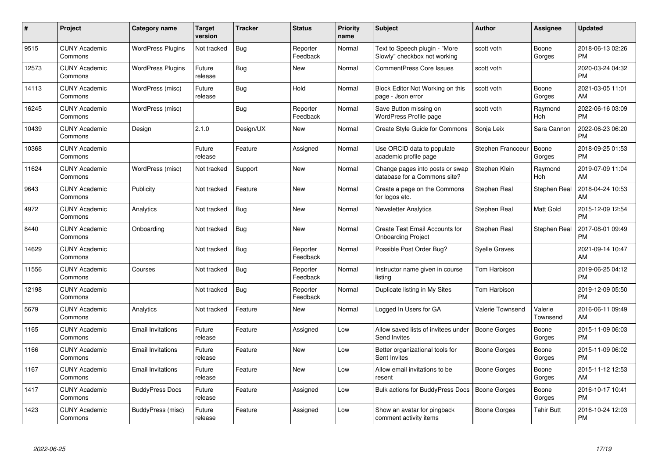| #     | Project                         | <b>Category name</b>     | Target<br>version | <b>Tracker</b> | <b>Status</b>        | <b>Priority</b><br>name | <b>Subject</b>                                                  | <b>Author</b>           | <b>Assignee</b>     | <b>Updated</b>                |
|-------|---------------------------------|--------------------------|-------------------|----------------|----------------------|-------------------------|-----------------------------------------------------------------|-------------------------|---------------------|-------------------------------|
| 9515  | <b>CUNY Academic</b><br>Commons | <b>WordPress Plugins</b> | Not tracked       | <b>Bug</b>     | Reporter<br>Feedback | Normal                  | Text to Speech plugin - "More<br>Slowly" checkbox not working   | scott voth              | Boone<br>Gorges     | 2018-06-13 02:26<br><b>PM</b> |
| 12573 | <b>CUNY Academic</b><br>Commons | <b>WordPress Plugins</b> | Future<br>release | Bug            | New                  | Normal                  | <b>CommentPress Core Issues</b>                                 | scott voth              |                     | 2020-03-24 04:32<br><b>PM</b> |
| 14113 | <b>CUNY Academic</b><br>Commons | WordPress (misc)         | Future<br>release | Bug            | Hold                 | Normal                  | Block Editor Not Working on this<br>page - Json error           | scott voth              | Boone<br>Gorges     | 2021-03-05 11:01<br>AM        |
| 16245 | <b>CUNY Academic</b><br>Commons | WordPress (misc)         |                   | <b>Bug</b>     | Reporter<br>Feedback | Normal                  | Save Button missing on<br>WordPress Profile page                | scott voth              | Raymond<br>Hoh      | 2022-06-16 03:09<br><b>PM</b> |
| 10439 | <b>CUNY Academic</b><br>Commons | Design                   | 2.1.0             | Design/UX      | <b>New</b>           | Normal                  | Create Style Guide for Commons                                  | Sonja Leix              | Sara Cannon         | 2022-06-23 06:20<br><b>PM</b> |
| 10368 | <b>CUNY Academic</b><br>Commons |                          | Future<br>release | Feature        | Assigned             | Normal                  | Use ORCID data to populate<br>academic profile page             | Stephen Francoeur       | Boone<br>Gorges     | 2018-09-25 01:53<br><b>PM</b> |
| 11624 | <b>CUNY Academic</b><br>Commons | WordPress (misc)         | Not tracked       | Support        | <b>New</b>           | Normal                  | Change pages into posts or swap<br>database for a Commons site? | Stephen Klein           | Raymond<br>Hoh      | 2019-07-09 11:04<br>AM        |
| 9643  | <b>CUNY Academic</b><br>Commons | Publicity                | Not tracked       | Feature        | <b>New</b>           | Normal                  | Create a page on the Commons<br>for logos etc.                  | Stephen Real            | Stephen Real        | 2018-04-24 10:53<br>AM        |
| 4972  | <b>CUNY Academic</b><br>Commons | Analytics                | Not tracked       | <b>Bug</b>     | <b>New</b>           | Normal                  | <b>Newsletter Analytics</b>                                     | Stephen Real            | Matt Gold           | 2015-12-09 12:54<br><b>PM</b> |
| 8440  | <b>CUNY Academic</b><br>Commons | Onboarding               | Not tracked       | <b>Bug</b>     | <b>New</b>           | Normal                  | Create Test Email Accounts for<br><b>Onboarding Project</b>     | Stephen Real            | Stephen Real        | 2017-08-01 09:49<br><b>PM</b> |
| 14629 | <b>CUNY Academic</b><br>Commons |                          | Not tracked       | <b>Bug</b>     | Reporter<br>Feedback | Normal                  | Possible Post Order Bug?                                        | <b>Syelle Graves</b>    |                     | 2021-09-14 10:47<br>AM        |
| 11556 | <b>CUNY Academic</b><br>Commons | Courses                  | Not tracked       | <b>Bug</b>     | Reporter<br>Feedback | Normal                  | Instructor name given in course<br>listing                      | Tom Harbison            |                     | 2019-06-25 04:12<br><b>PM</b> |
| 12198 | <b>CUNY Academic</b><br>Commons |                          | Not tracked       | <b>Bug</b>     | Reporter<br>Feedback | Normal                  | Duplicate listing in My Sites                                   | Tom Harbison            |                     | 2019-12-09 05:50<br><b>PM</b> |
| 5679  | <b>CUNY Academic</b><br>Commons | Analytics                | Not tracked       | Feature        | <b>New</b>           | Normal                  | Logged In Users for GA                                          | <b>Valerie Townsend</b> | Valerie<br>Townsend | 2016-06-11 09:49<br>AM        |
| 1165  | <b>CUNY Academic</b><br>Commons | <b>Email Invitations</b> | Future<br>release | Feature        | Assigned             | Low                     | Allow saved lists of invitees under<br>Send Invites             | <b>Boone Gorges</b>     | Boone<br>Gorges     | 2015-11-09 06:03<br><b>PM</b> |
| 1166  | <b>CUNY Academic</b><br>Commons | <b>Email Invitations</b> | Future<br>release | Feature        | <b>New</b>           | Low                     | Better organizational tools for<br>Sent Invites                 | <b>Boone Gorges</b>     | Boone<br>Gorges     | 2015-11-09 06:02<br><b>PM</b> |
| 1167  | <b>CUNY Academic</b><br>Commons | <b>Email Invitations</b> | Future<br>release | Feature        | New                  | Low                     | Allow email invitations to be<br>resent                         | Boone Gorges            | Boone<br>Gorges     | 2015-11-12 12:53<br>AM        |
| 1417  | <b>CUNY Academic</b><br>Commons | <b>BuddyPress Docs</b>   | Future<br>release | Feature        | Assigned             | Low                     | Bulk actions for BuddyPress Docs                                | <b>Boone Gorges</b>     | Boone<br>Gorges     | 2016-10-17 10:41<br><b>PM</b> |
| 1423  | <b>CUNY Academic</b><br>Commons | BuddyPress (misc)        | Future<br>release | Feature        | Assigned             | Low                     | Show an avatar for pingback<br>comment activity items           | Boone Gorges            | Tahir Butt          | 2016-10-24 12:03<br><b>PM</b> |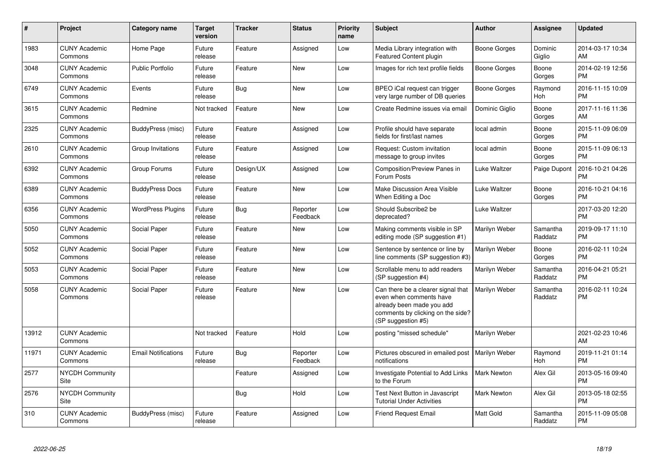| $\#$  | Project                         | Category name              | <b>Target</b><br>version | <b>Tracker</b> | <b>Status</b>        | <b>Priority</b><br>name | <b>Subject</b>                                                                                                                                        | Author              | Assignee            | <b>Updated</b>                |
|-------|---------------------------------|----------------------------|--------------------------|----------------|----------------------|-------------------------|-------------------------------------------------------------------------------------------------------------------------------------------------------|---------------------|---------------------|-------------------------------|
| 1983  | <b>CUNY Academic</b><br>Commons | Home Page                  | Future<br>release        | Feature        | Assigned             | Low                     | Media Library integration with<br>Featured Content plugin                                                                                             | Boone Gorges        | Dominic<br>Giglio   | 2014-03-17 10:34<br>AM        |
| 3048  | <b>CUNY Academic</b><br>Commons | <b>Public Portfolio</b>    | Future<br>release        | Feature        | <b>New</b>           | Low                     | Images for rich text profile fields                                                                                                                   | <b>Boone Gorges</b> | Boone<br>Gorges     | 2014-02-19 12:56<br><b>PM</b> |
| 6749  | <b>CUNY Academic</b><br>Commons | Events                     | Future<br>release        | Bug            | <b>New</b>           | Low                     | BPEO iCal request can trigger<br>very large number of DB queries                                                                                      | Boone Gorges        | Raymond<br>Hoh      | 2016-11-15 10:09<br><b>PM</b> |
| 3615  | <b>CUNY Academic</b><br>Commons | Redmine                    | Not tracked              | Feature        | <b>New</b>           | Low                     | Create Redmine issues via email                                                                                                                       | Dominic Giglio      | Boone<br>Gorges     | 2017-11-16 11:36<br>AM        |
| 2325  | <b>CUNY Academic</b><br>Commons | BuddyPress (misc)          | Future<br>release        | Feature        | Assigned             | Low                     | Profile should have separate<br>fields for first/last names                                                                                           | local admin         | Boone<br>Gorges     | 2015-11-09 06:09<br><b>PM</b> |
| 2610  | <b>CUNY Academic</b><br>Commons | Group Invitations          | Future<br>release        | Feature        | Assigned             | Low                     | Request: Custom invitation<br>message to group invites                                                                                                | local admin         | Boone<br>Gorges     | 2015-11-09 06:13<br><b>PM</b> |
| 6392  | <b>CUNY Academic</b><br>Commons | Group Forums               | Future<br>release        | Design/UX      | Assigned             | Low                     | Composition/Preview Panes in<br>Forum Posts                                                                                                           | Luke Waltzer        | Paige Dupont        | 2016-10-21 04:26<br><b>PM</b> |
| 6389  | <b>CUNY Academic</b><br>Commons | <b>BuddyPress Docs</b>     | Future<br>release        | Feature        | <b>New</b>           | Low                     | Make Discussion Area Visible<br>When Editing a Doc                                                                                                    | Luke Waltzer        | Boone<br>Gorges     | 2016-10-21 04:16<br><b>PM</b> |
| 6356  | <b>CUNY Academic</b><br>Commons | <b>WordPress Plugins</b>   | Future<br>release        | Bug            | Reporter<br>Feedback | Low                     | Should Subscribe2 be<br>deprecated?                                                                                                                   | Luke Waltzer        |                     | 2017-03-20 12:20<br><b>PM</b> |
| 5050  | <b>CUNY Academic</b><br>Commons | Social Paper               | Future<br>release        | Feature        | <b>New</b>           | Low                     | Making comments visible in SP<br>editing mode (SP suggestion #1)                                                                                      | Marilyn Weber       | Samantha<br>Raddatz | 2019-09-17 11:10<br><b>PM</b> |
| 5052  | <b>CUNY Academic</b><br>Commons | Social Paper               | Future<br>release        | Feature        | <b>New</b>           | Low                     | Sentence by sentence or line by<br>line comments (SP suggestion #3)                                                                                   | Marilyn Weber       | Boone<br>Gorges     | 2016-02-11 10:24<br><b>PM</b> |
| 5053  | <b>CUNY Academic</b><br>Commons | Social Paper               | Future<br>release        | Feature        | <b>New</b>           | Low                     | Scrollable menu to add readers<br>(SP suggestion #4)                                                                                                  | Marilyn Weber       | Samantha<br>Raddatz | 2016-04-21 05:21<br><b>PM</b> |
| 5058  | <b>CUNY Academic</b><br>Commons | Social Paper               | Future<br>release        | Feature        | <b>New</b>           | Low                     | Can there be a clearer signal that<br>even when comments have<br>already been made you add<br>comments by clicking on the side?<br>(SP suggestion #5) | Marilyn Weber       | Samantha<br>Raddatz | 2016-02-11 10:24<br><b>PM</b> |
| 13912 | <b>CUNY Academic</b><br>Commons |                            | Not tracked              | Feature        | Hold                 | Low                     | posting "missed schedule"                                                                                                                             | Marilyn Weber       |                     | 2021-02-23 10:46<br>AM        |
| 11971 | <b>CUNY Academic</b><br>Commons | <b>Email Notifications</b> | Future<br>release        | Bug            | Reporter<br>Feedback | Low                     | Pictures obscured in emailed post<br>notifications                                                                                                    | Marilyn Weber       | Raymond<br>Hoh      | 2019-11-21 01:14<br><b>PM</b> |
| 2577  | <b>NYCDH Community</b><br>Site  |                            |                          | Feature        | Assigned             | Low                     | Investigate Potential to Add Links<br>to the Forum                                                                                                    | <b>Mark Newton</b>  | Alex Gil            | 2013-05-16 09:40<br><b>PM</b> |
| 2576  | <b>NYCDH Community</b><br>Site  |                            |                          | Bug            | Hold                 | Low                     | <b>Test Next Button in Javascript</b><br><b>Tutorial Under Activities</b>                                                                             | <b>Mark Newton</b>  | Alex Gil            | 2013-05-18 02:55<br><b>PM</b> |
| 310   | <b>CUNY Academic</b><br>Commons | BuddyPress (misc)          | Future<br>release        | Feature        | Assigned             | Low                     | <b>Friend Request Email</b>                                                                                                                           | <b>Matt Gold</b>    | Samantha<br>Raddatz | 2015-11-09 05:08<br>PM        |